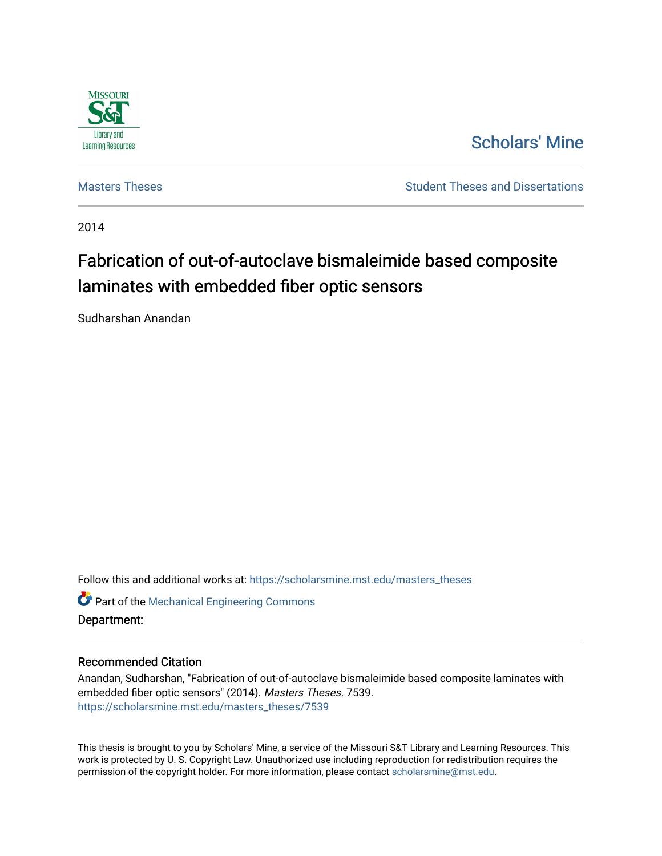

# [Scholars' Mine](https://scholarsmine.mst.edu/)

[Masters Theses](https://scholarsmine.mst.edu/masters_theses) **Student Theses and Dissertations** Student Theses and Dissertations

2014

# Fabrication of out-of-autoclave bismaleimide based composite laminates with embedded fiber optic sensors

Sudharshan Anandan

Follow this and additional works at: [https://scholarsmine.mst.edu/masters\\_theses](https://scholarsmine.mst.edu/masters_theses?utm_source=scholarsmine.mst.edu%2Fmasters_theses%2F7539&utm_medium=PDF&utm_campaign=PDFCoverPages) 

**C** Part of the Mechanical Engineering Commons Department:

#### Recommended Citation

Anandan, Sudharshan, "Fabrication of out-of-autoclave bismaleimide based composite laminates with embedded fiber optic sensors" (2014). Masters Theses. 7539. [https://scholarsmine.mst.edu/masters\\_theses/7539](https://scholarsmine.mst.edu/masters_theses/7539?utm_source=scholarsmine.mst.edu%2Fmasters_theses%2F7539&utm_medium=PDF&utm_campaign=PDFCoverPages) 

This thesis is brought to you by Scholars' Mine, a service of the Missouri S&T Library and Learning Resources. This work is protected by U. S. Copyright Law. Unauthorized use including reproduction for redistribution requires the permission of the copyright holder. For more information, please contact [scholarsmine@mst.edu](mailto:scholarsmine@mst.edu).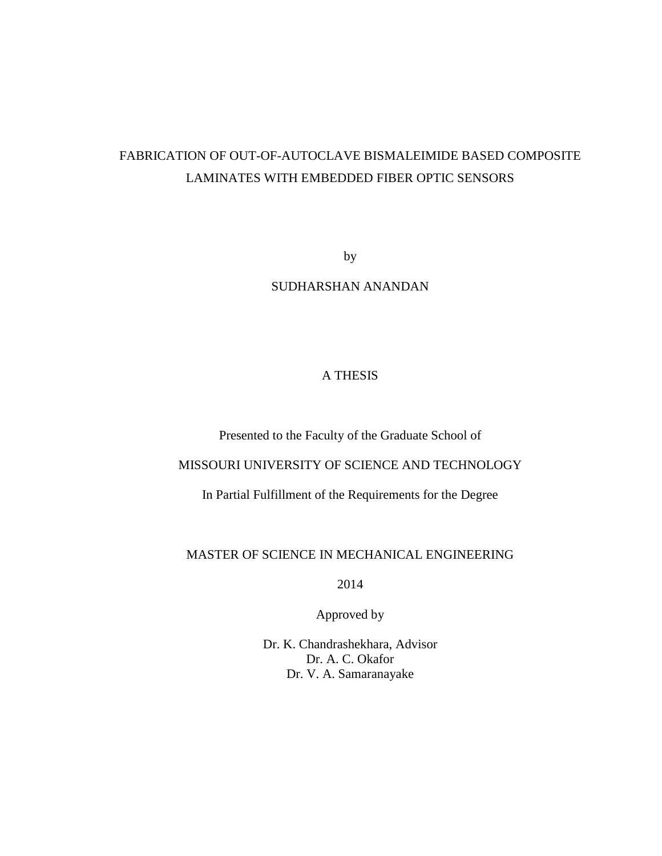# FABRICATION OF OUT-OF-AUTOCLAVE BISMALEIMIDE BASED COMPOSITE LAMINATES WITH EMBEDDED FIBER OPTIC SENSORS

by

SUDHARSHAN ANANDAN

# A THESIS

Presented to the Faculty of the Graduate School of

### MISSOURI UNIVERSITY OF SCIENCE AND TECHNOLOGY

In Partial Fulfillment of the Requirements for the Degree

### MASTER OF SCIENCE IN MECHANICAL ENGINEERING

2014

Approved by

Dr. K. Chandrashekhara, Advisor Dr. A. C. Okafor Dr. V. A. Samaranayake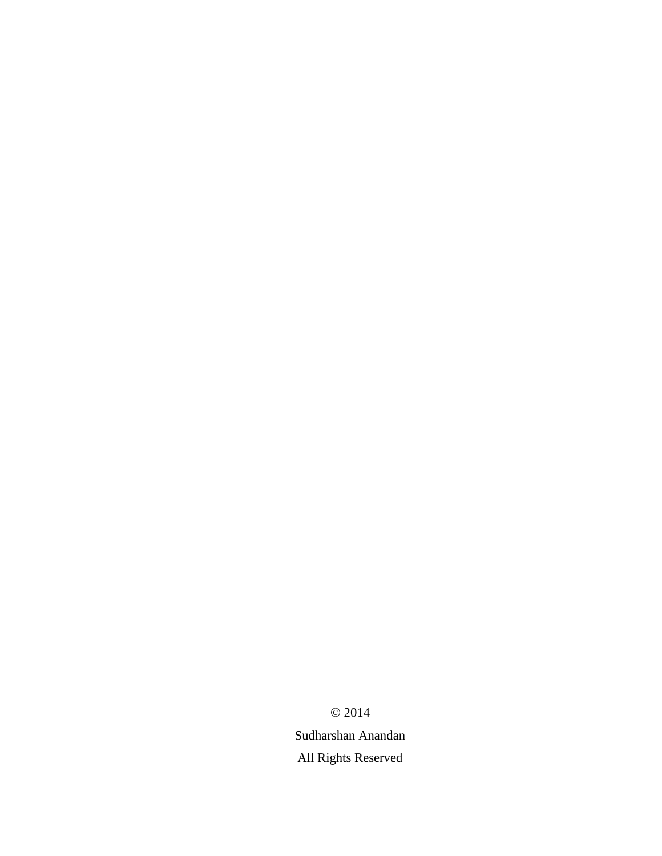$© 2014$ 

Sudharshan Anandan All Rights Reserved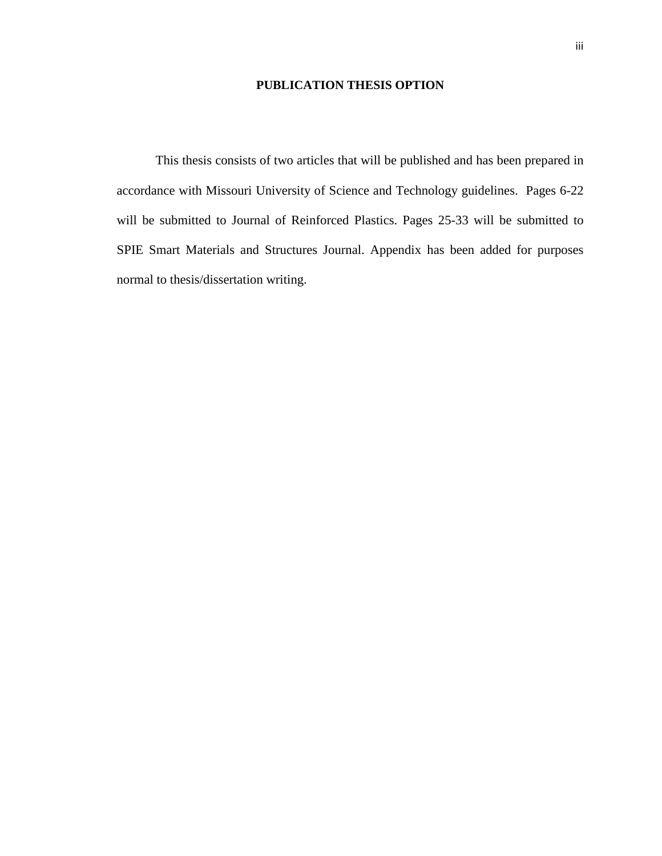#### **PUBLICATION THESIS OPTION**

This thesis consists of two articles that will be published and has been prepared in accordance with Missouri University of Science and Technology guidelines. Pages 6-22 will be submitted to Journal of Reinforced Plastics. Pages 25-33 will be submitted to SPIE Smart Materials and Structures Journal. Appendix has been added for purposes normal to thesis/dissertation writing.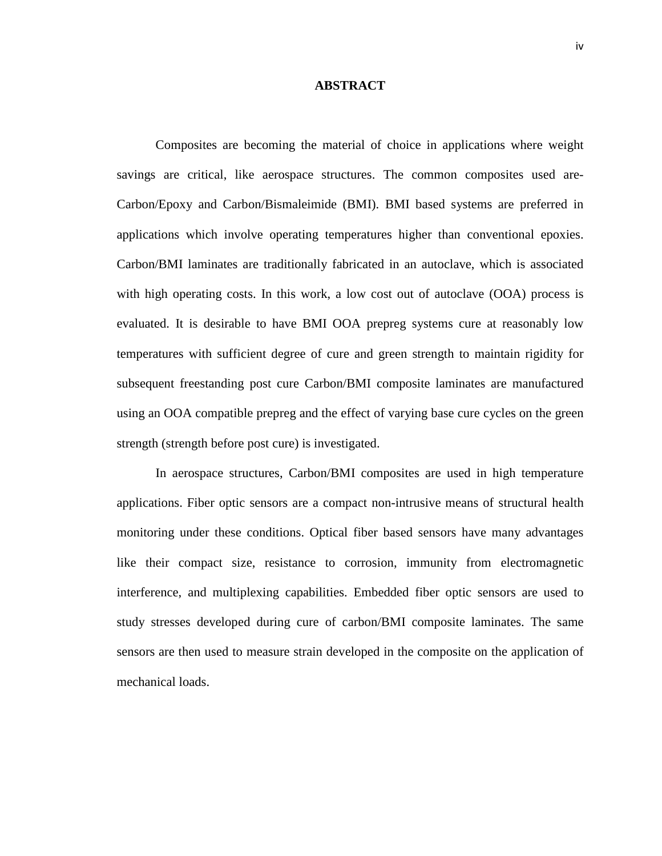#### **ABSTRACT**

Composites are becoming the material of choice in applications where weight savings are critical, like aerospace structures. The common composites used are-Carbon/Epoxy and Carbon/Bismaleimide (BMI). BMI based systems are preferred in applications which involve operating temperatures higher than conventional epoxies. Carbon/BMI laminates are traditionally fabricated in an autoclave, which is associated with high operating costs. In this work, a low cost out of autoclave (OOA) process is evaluated. It is desirable to have BMI OOA prepreg systems cure at reasonably low temperatures with sufficient degree of cure and green strength to maintain rigidity for subsequent freestanding post cure Carbon/BMI composite laminates are manufactured using an OOA compatible prepreg and the effect of varying base cure cycles on the green strength (strength before post cure) is investigated.

In aerospace structures, Carbon/BMI composites are used in high temperature applications. Fiber optic sensors are a compact non-intrusive means of structural health monitoring under these conditions. Optical fiber based sensors have many advantages like their compact size, resistance to corrosion, immunity from electromagnetic interference, and multiplexing capabilities. Embedded fiber optic sensors are used to study stresses developed during cure of carbon/BMI composite laminates. The same sensors are then used to measure strain developed in the composite on the application of mechanical loads.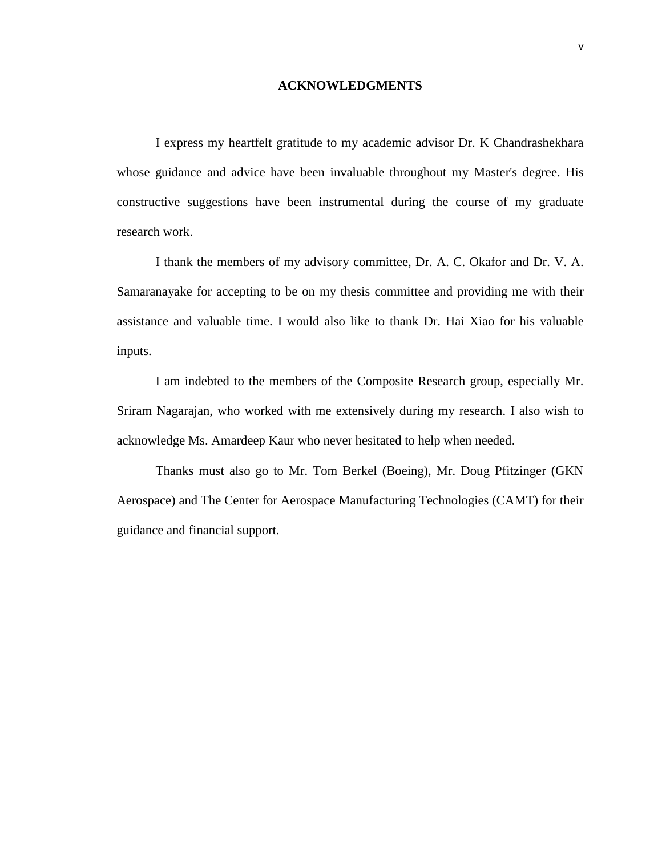#### **ACKNOWLEDGMENTS**

I express my heartfelt gratitude to my academic advisor Dr. K Chandrashekhara whose guidance and advice have been invaluable throughout my Master's degree. His constructive suggestions have been instrumental during the course of my graduate research work.

I thank the members of my advisory committee, Dr. A. C. Okafor and Dr. V. A. Samaranayake for accepting to be on my thesis committee and providing me with their assistance and valuable time. I would also like to thank Dr. Hai Xiao for his valuable inputs.

I am indebted to the members of the Composite Research group, especially Mr. Sriram Nagarajan, who worked with me extensively during my research. I also wish to acknowledge Ms. Amardeep Kaur who never hesitated to help when needed.

Thanks must also go to Mr. Tom Berkel (Boeing), Mr. Doug Pfitzinger (GKN Aerospace) and The Center for Aerospace Manufacturing Technologies (CAMT) for their guidance and financial support.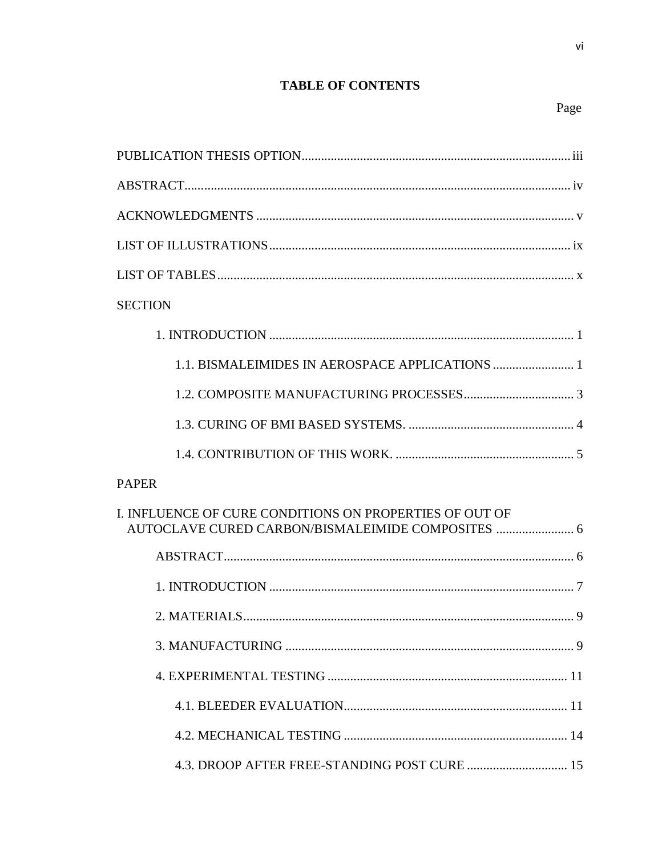# **TABLE OF CONTENTS**

| <b>SECTION</b>                                          |
|---------------------------------------------------------|
|                                                         |
|                                                         |
|                                                         |
|                                                         |
|                                                         |
| <b>PAPER</b>                                            |
| I. INFLUENCE OF CURE CONDITIONS ON PROPERTIES OF OUT OF |
|                                                         |
|                                                         |
|                                                         |
|                                                         |
|                                                         |
|                                                         |
|                                                         |
| 4.3. DROOP AFTER FREE-STANDING POST CURE  15            |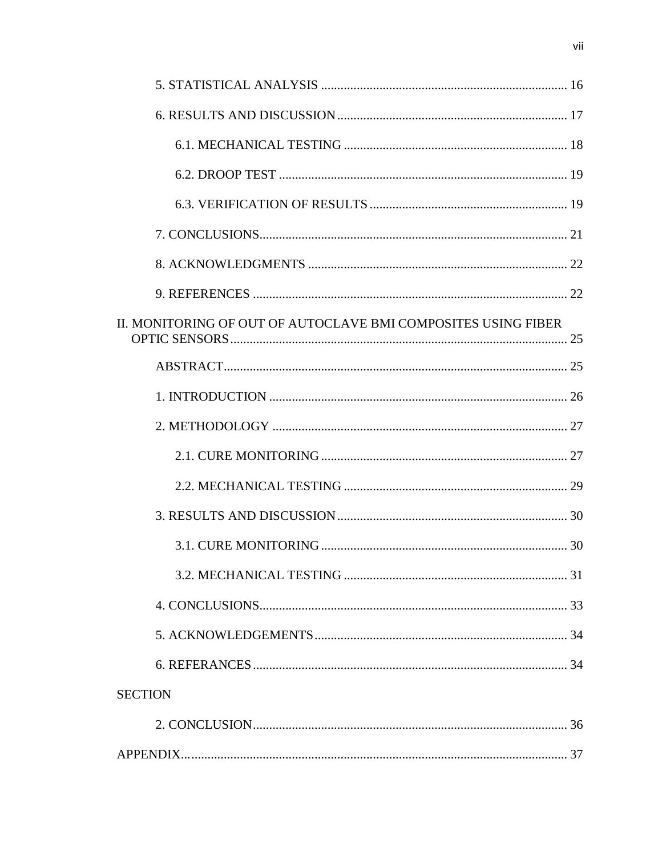| II. MONITORING OF OUT OF AUTOCLAVE BMI COMPOSITES USING FIBER |  |
|---------------------------------------------------------------|--|
|                                                               |  |
|                                                               |  |
|                                                               |  |
|                                                               |  |
|                                                               |  |
|                                                               |  |
|                                                               |  |
|                                                               |  |
|                                                               |  |
|                                                               |  |
|                                                               |  |
| <b>SECTION</b>                                                |  |
|                                                               |  |
|                                                               |  |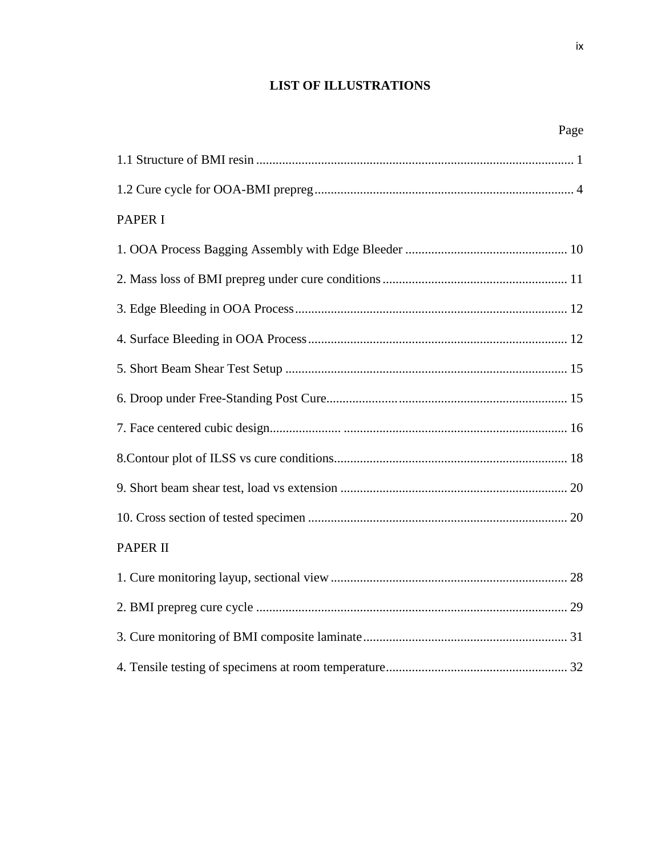# **LIST OF ILLUSTRATIONS**

Page **Page** 

| <b>PAPER I</b>  |
|-----------------|
|                 |
|                 |
|                 |
|                 |
|                 |
|                 |
|                 |
|                 |
|                 |
|                 |
| <b>PAPER II</b> |
|                 |
|                 |
|                 |
|                 |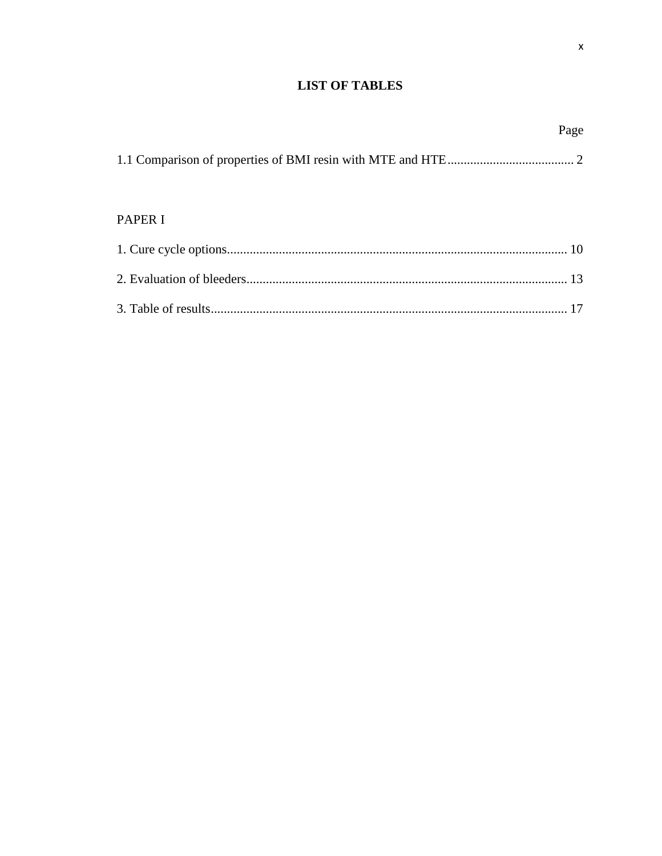# **LIST OF TABLES**

|                | Page |
|----------------|------|
|                |      |
| <b>PAPER I</b> |      |
|                |      |
|                |      |
|                |      |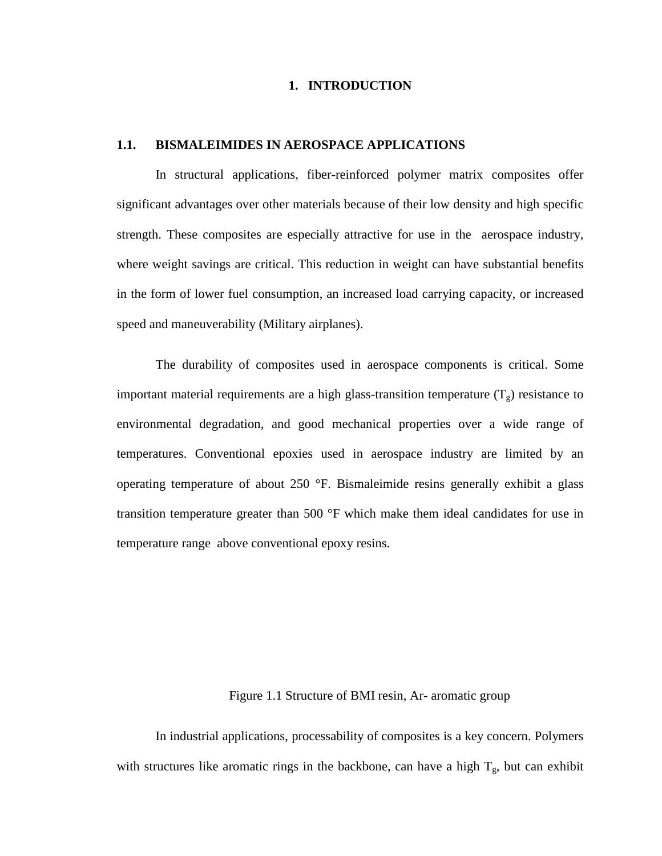#### **1. INTRODUCTION**

#### **1.1. BISMALEIMIDES IN AEROSPACE APPLICATIONS**

In structural applications, fiber-reinforced polymer matrix composites offer significant advantages over other materials because of their low density and high specific strength. These composites are especially attractive for use in the aerospace industry, where weight savings are critical. This reduction in weight can have substantial benefits in the form of lower fuel consumption, an increased load carrying capacity, or increased speed and maneuverability (Military airplanes).

The durability of composites used in aerospace components is critical. Some important material requirements are a high glass-transition temperature  $(T<sub>o</sub>)$  resistance to environmental degradation, and good mechanical properties over a wide range of temperatures. Conventional epoxies used in aerospace industry are limited by an operating temperature of about 250 °F. Bismaleimide resins generally exhibit a glass transition temperature greater than 500 °F which make them ideal candidates for use in temperature range above conventional epoxy resins.

#### Figure 1.1 Structure of BMI resin, Ar- aromatic group

In industrial applications, processability of composites is a key concern. Polymers with structures like aromatic rings in the backbone, can have a high  $T_g$ , but can exhibit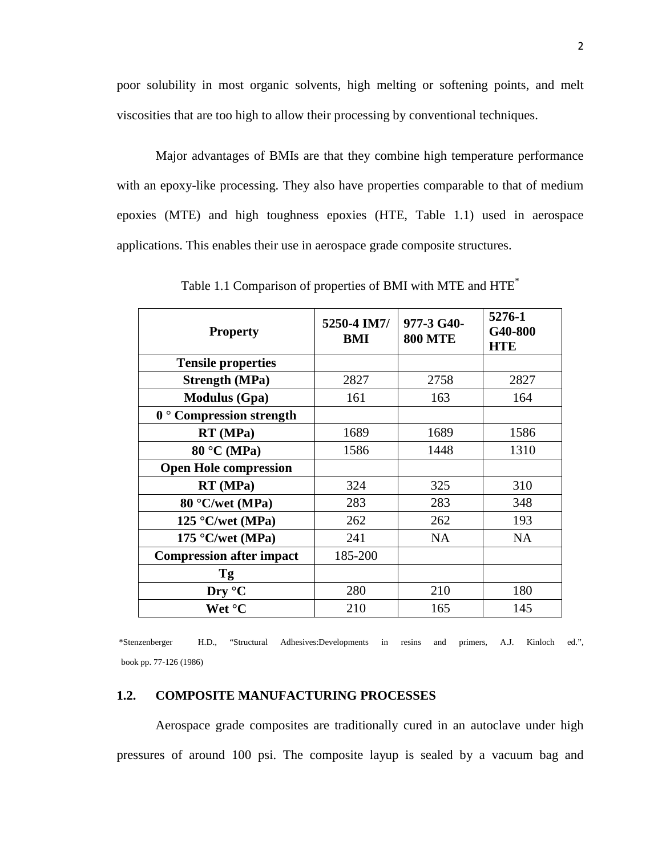poor solubility in most organic solvents, high melting or softening points, and melt viscosities that are too high to allow their processing by conventional techniques.

Major advantages of BMIs are that they combine high temperature performance with an epoxy-like processing. They also have properties comparable to that of medium epoxies (MTE) and high toughness epoxies (HTE, Table 1.1) used in aerospace applications. This enables their use in aerospace grade composite structures.

| <b>Property</b>                 | 5250-4 IM7/<br>BMI | 977-3 G40-<br><b>800 MTE</b> | 5276-1<br>G40-800<br><b>HTE</b> |
|---------------------------------|--------------------|------------------------------|---------------------------------|
| <b>Tensile properties</b>       |                    |                              |                                 |
| <b>Strength (MPa)</b>           | 2827               | 2758                         | 2827                            |
| <b>Modulus (Gpa)</b>            | 161                | 163                          | 164                             |
| $0°$ Compression strength       |                    |                              |                                 |
| RT (MPa)                        | 1689               | 1689                         | 1586                            |
| 80 °C (MPa)                     | 1586               | 1448                         | 1310                            |
| <b>Open Hole compression</b>    |                    |                              |                                 |
| RT (MPa)                        | 324                | 325                          | 310                             |
| 80 °C/wet (MPa)                 | 283                | 283                          | 348                             |
| $125$ °C/wet (MPa)              | 262                | 262                          | 193                             |
| 175 °C/wet (MPa)                | 241                | <b>NA</b>                    | <b>NA</b>                       |
| <b>Compression after impact</b> | 185-200            |                              |                                 |
| <b>Tg</b>                       |                    |                              |                                 |
| Dry °C                          | 280                | 210                          | 180                             |
| Wet °C                          | 210                | 165                          | 145                             |

Table 1.1 Comparison of properties of BMI with MTE and HTE\*

 \*Stenzenberger H.D., "Structural Adhesives:Developments in resins and primers, A.J. Kinloch ed.", book pp. 77-126 (1986)

### **1.2. COMPOSITE MANUFACTURING PROCESSES**

Aerospace grade composites are traditionally cured in an autoclave under high pressures of around 100 psi. The composite layup is sealed by a vacuum bag and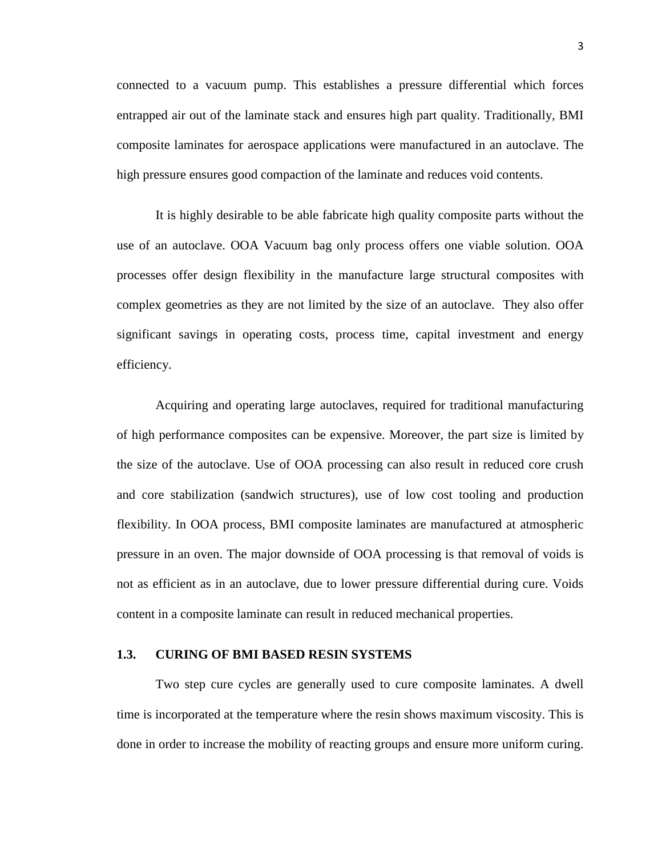connected to a vacuum pump. This establishes a pressure differential which forces entrapped air out of the laminate stack and ensures high part quality. Traditionally, BMI composite laminates for aerospace applications were manufactured in an autoclave. The high pressure ensures good compaction of the laminate and reduces void contents.

It is highly desirable to be able fabricate high quality composite parts without the use of an autoclave. OOA Vacuum bag only process offers one viable solution. OOA processes offer design flexibility in the manufacture large structural composites with complex geometries as they are not limited by the size of an autoclave. They also offer significant savings in operating costs, process time, capital investment and energy efficiency.

Acquiring and operating large autoclaves, required for traditional manufacturing of high performance composites can be expensive. Moreover, the part size is limited by the size of the autoclave. Use of OOA processing can also result in reduced core crush and core stabilization (sandwich structures), use of low cost tooling and production flexibility. In OOA process, BMI composite laminates are manufactured at atmospheric pressure in an oven. The major downside of OOA processing is that removal of voids is not as efficient as in an autoclave, due to lower pressure differential during cure. Voids content in a composite laminate can result in reduced mechanical properties.

#### **1.3. CURING OF BMI BASED RESIN SYSTEMS**

Two step cure cycles are generally used to cure composite laminates. A dwell time is incorporated at the temperature where the resin shows maximum viscosity. This is done in order to increase the mobility of reacting groups and ensure more uniform curing.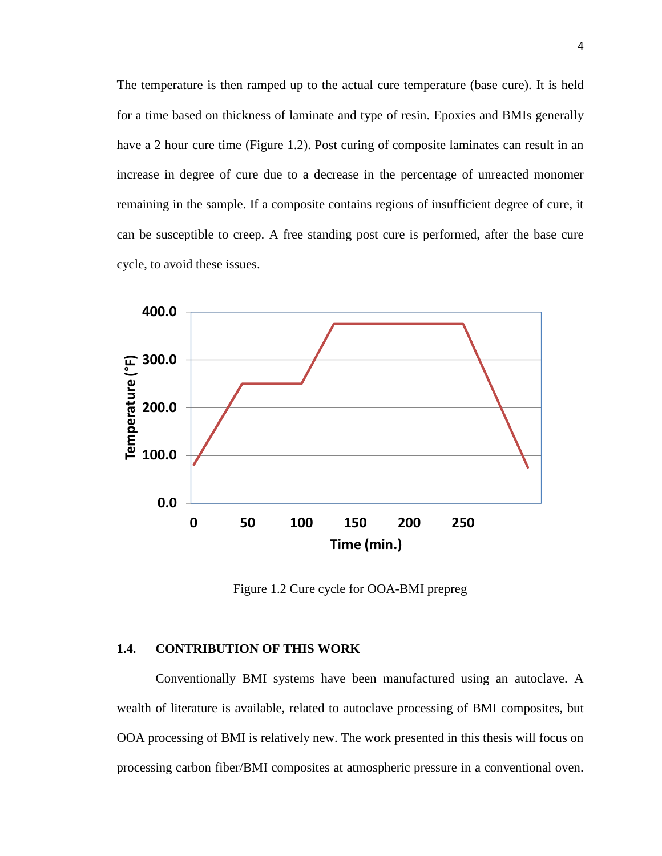The temperature is then ramped up to the actual cure temperature (base cure). It is held for a time based on thickness of laminate and type of resin. Epoxies and BMIs generally have a 2 hour cure time (Figure 1.2). Post curing of composite laminates can result in an increase in degree of cure due to a decrease in the percentage of unreacted monomer remaining in the sample. If a composite contains regions of insufficient degree of cure, it can be susceptible to creep. A free standing post cure is performed, after the base cure cycle, to avoid these issues.



Figure 1.2 Cure cycle for OOA-BMI prepreg

#### **1.4. CONTRIBUTION OF THIS WORK**

Conventionally BMI systems have been manufactured using an autoclave. A wealth of literature is available, related to autoclave processing of BMI composites, but OOA processing of BMI is relatively new. The work presented in this thesis will focus on processing carbon fiber/BMI composites at atmospheric pressure in a conventional oven.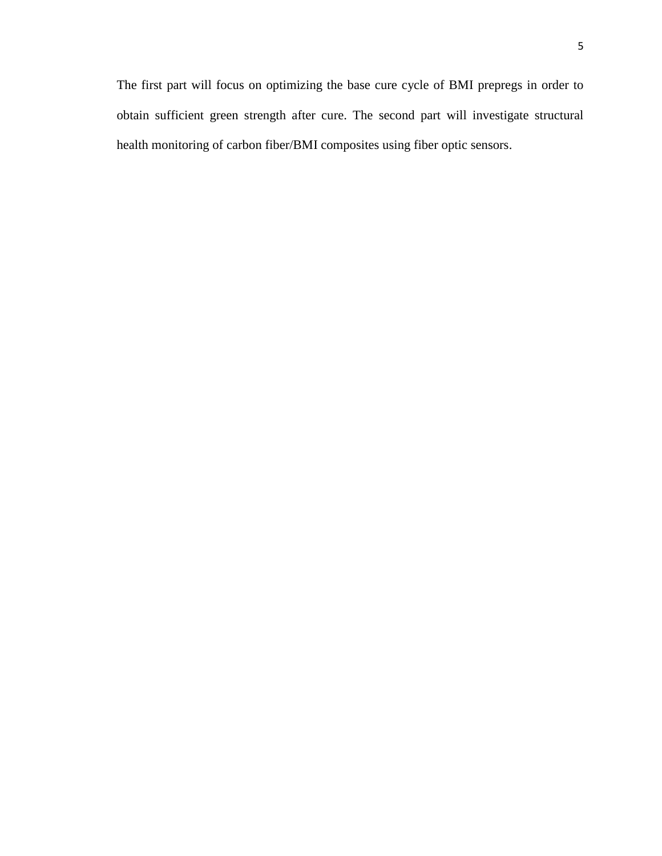The first part will focus on optimizing the base cure cycle of BMI prepregs in order to obtain sufficient green strength after cure. The second part will investigate structural health monitoring of carbon fiber/BMI composites using fiber optic sensors.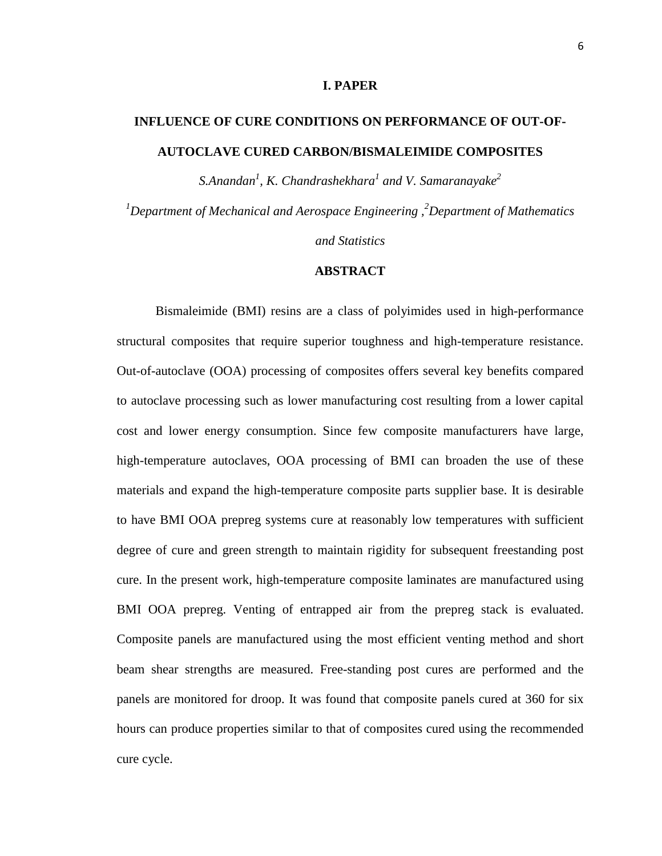#### **I. PAPER**

# **INFLUENCE OF CURE CONDITIONS ON PERFORMANCE OF OUT-OF-AUTOCLAVE CURED CARBON/BISMALEIMIDE COMPOSITES**

*S.Anandan<sup>1</sup> , K. Chandrashekhara<sup>1</sup> and V. Samaranayake<sup>2</sup> <sup>1</sup>Department of Mechanical and Aerospace Engineering , <sup>2</sup>Department of Mathematics and Statistics*

#### **ABSTRACT**

Bismaleimide (BMI) resins are a class of polyimides used in high-performance structural composites that require superior toughness and high-temperature resistance. Out-of-autoclave (OOA) processing of composites offers several key benefits compared to autoclave processing such as lower manufacturing cost resulting from a lower capital cost and lower energy consumption. Since few composite manufacturers have large, high-temperature autoclaves, OOA processing of BMI can broaden the use of these materials and expand the high-temperature composite parts supplier base. It is desirable to have BMI OOA prepreg systems cure at reasonably low temperatures with sufficient degree of cure and green strength to maintain rigidity for subsequent freestanding post cure. In the present work, high-temperature composite laminates are manufactured using BMI OOA prepreg. Venting of entrapped air from the prepreg stack is evaluated. Composite panels are manufactured using the most efficient venting method and short beam shear strengths are measured. Free-standing post cures are performed and the panels are monitored for droop. It was found that composite panels cured at 360 for six hours can produce properties similar to that of composites cured using the recommended cure cycle.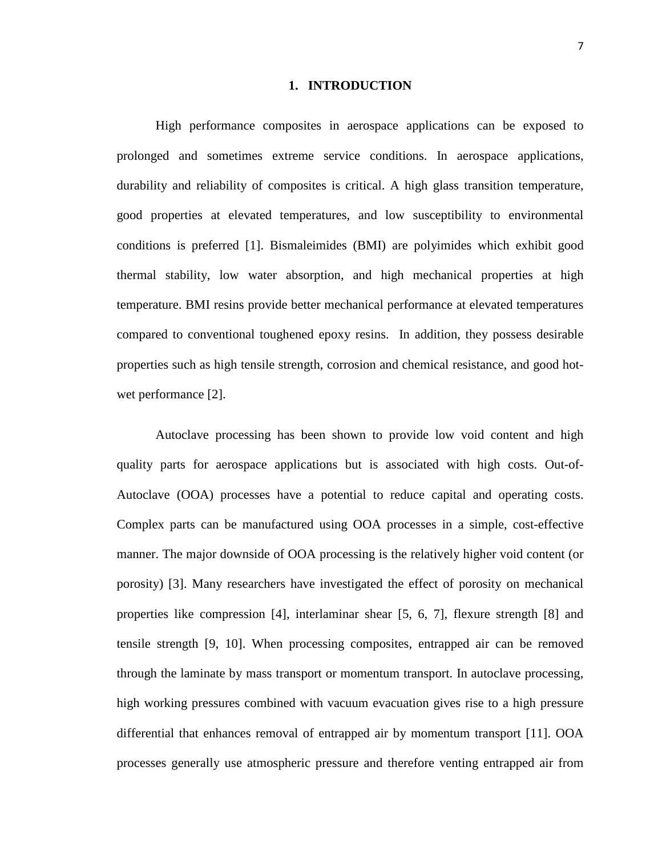#### **1. INTRODUCTION**

High performance composites in aerospace applications can be exposed to prolonged and sometimes extreme service conditions. In aerospace applications, durability and reliability of composites is critical. A high glass transition temperature, good properties at elevated temperatures, and low susceptibility to environmental conditions is preferred [1]. Bismaleimides (BMI) are polyimides which exhibit good thermal stability, low water absorption, and high mechanical properties at high temperature. BMI resins provide better mechanical performance at elevated temperatures compared to conventional toughened epoxy resins. In addition, they possess desirable properties such as high tensile strength, corrosion and chemical resistance, and good hotwet performance [2].

Autoclave processing has been shown to provide low void content and high quality parts for aerospace applications but is associated with high costs. Out-of-Autoclave (OOA) processes have a potential to reduce capital and operating costs. Complex parts can be manufactured using OOA processes in a simple, cost-effective manner. The major downside of OOA processing is the relatively higher void content (or porosity) [3]. Many researchers have investigated the effect of porosity on mechanical properties like compression [4], interlaminar shear [5, 6, 7], flexure strength [8] and tensile strength [9, 10]. When processing composites, entrapped air can be removed through the laminate by mass transport or momentum transport. In autoclave processing, high working pressures combined with vacuum evacuation gives rise to a high pressure differential that enhances removal of entrapped air by momentum transport [11]. OOA processes generally use atmospheric pressure and therefore venting entrapped air from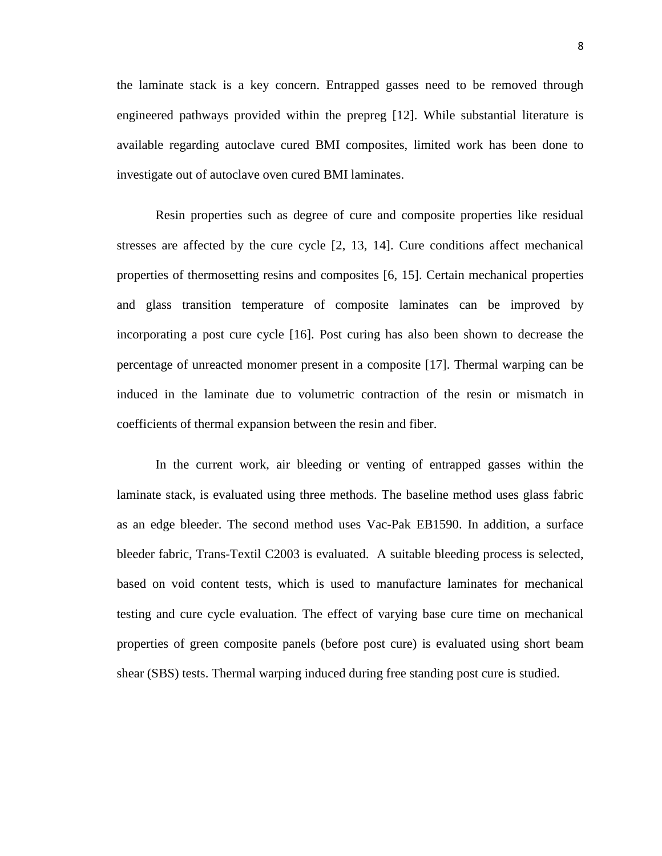the laminate stack is a key concern. Entrapped gasses need to be removed through engineered pathways provided within the prepreg [12]. While substantial literature is available regarding autoclave cured BMI composites, limited work has been done to investigate out of autoclave oven cured BMI laminates.

Resin properties such as degree of cure and composite properties like residual stresses are affected by the cure cycle [2, 13, 14]. Cure conditions affect mechanical properties of thermosetting resins and composites [6, 15]. Certain mechanical properties and glass transition temperature of composite laminates can be improved by incorporating a post cure cycle [16]. Post curing has also been shown to decrease the percentage of unreacted monomer present in a composite [17]. Thermal warping can be induced in the laminate due to volumetric contraction of the resin or mismatch in coefficients of thermal expansion between the resin and fiber.

In the current work, air bleeding or venting of entrapped gasses within the laminate stack, is evaluated using three methods. The baseline method uses glass fabric as an edge bleeder. The second method uses Vac-Pak EB1590. In addition, a surface bleeder fabric, Trans-Textil C2003 is evaluated. A suitable bleeding process is selected, based on void content tests, which is used to manufacture laminates for mechanical testing and cure cycle evaluation. The effect of varying base cure time on mechanical properties of green composite panels (before post cure) is evaluated using short beam shear (SBS) tests. Thermal warping induced during free standing post cure is studied.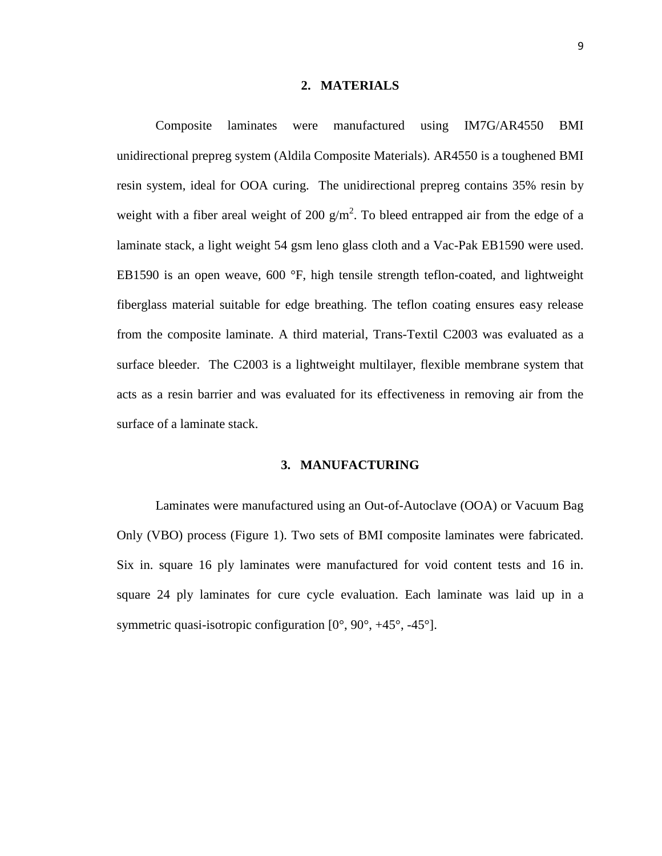#### **2. MATERIALS**

Composite laminates were manufactured using IM7G/AR4550 BMI unidirectional prepreg system (Aldila Composite Materials). AR4550 is a toughened BMI resin system, ideal for OOA curing. The unidirectional prepreg contains 35% resin by weight with a fiber areal weight of 200  $g/m^2$ . To bleed entrapped air from the edge of a laminate stack, a light weight 54 gsm leno glass cloth and a Vac-Pak EB1590 were used. EB1590 is an open weave, 600 °F, high tensile strength teflon-coated, and lightweight fiberglass material suitable for edge breathing. The teflon coating ensures easy release from the composite laminate. A third material, Trans-Textil C2003 was evaluated as a surface bleeder. The C2003 is a lightweight multilayer, flexible membrane system that acts as a resin barrier and was evaluated for its effectiveness in removing air from the surface of a laminate stack.

#### **3. MANUFACTURING**

Laminates were manufactured using an Out-of-Autoclave (OOA) or Vacuum Bag Only (VBO) process (Figure 1). Two sets of BMI composite laminates were fabricated. Six in. square 16 ply laminates were manufactured for void content tests and 16 in. square 24 ply laminates for cure cycle evaluation. Each laminate was laid up in a symmetric quasi-isotropic configuration [0°, 90°, +45°, -45°].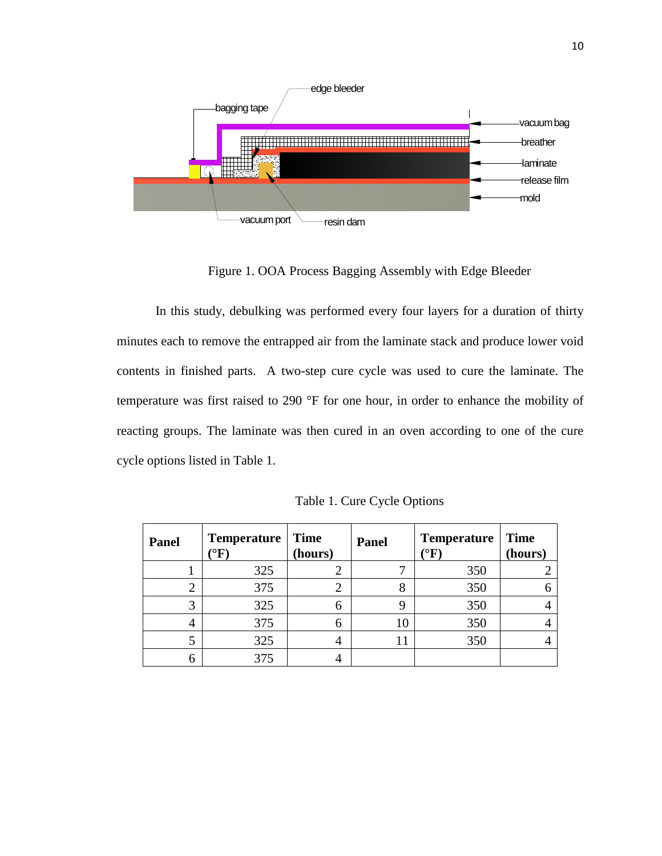

Figure 1. OOA Process Bagging Assembly with Edge Bleeder

In this study, debulking was performed every four layers for a duration of thirty minutes each to remove the entrapped air from the laminate stack and produce lower void contents in finished parts. A two-step cure cycle was used to cure the laminate. The temperature was first raised to 290 °F for one hour, in order to enhance the mobility of reacting groups. The laminate was then cured in an oven according to one of the cure cycle options listed in Table 1.

| Panel | <b>Temperature</b><br>$\rm ^{\circ}F)$ | <b>Time</b><br>(hours) | Panel | <b>Temperature</b><br>$\rm ^{\circ}F$ | <b>Time</b><br>(hours) |
|-------|----------------------------------------|------------------------|-------|---------------------------------------|------------------------|
|       | 325                                    |                        |       | 350                                   |                        |
|       | 375                                    |                        |       | 350                                   |                        |
| 3     | 325                                    | 6                      |       | 350                                   |                        |
| 4     | 375                                    | 6                      |       | 350                                   |                        |
|       | 325                                    |                        |       | 350                                   |                        |
|       | 375                                    |                        |       |                                       |                        |

Table 1. Cure Cycle Options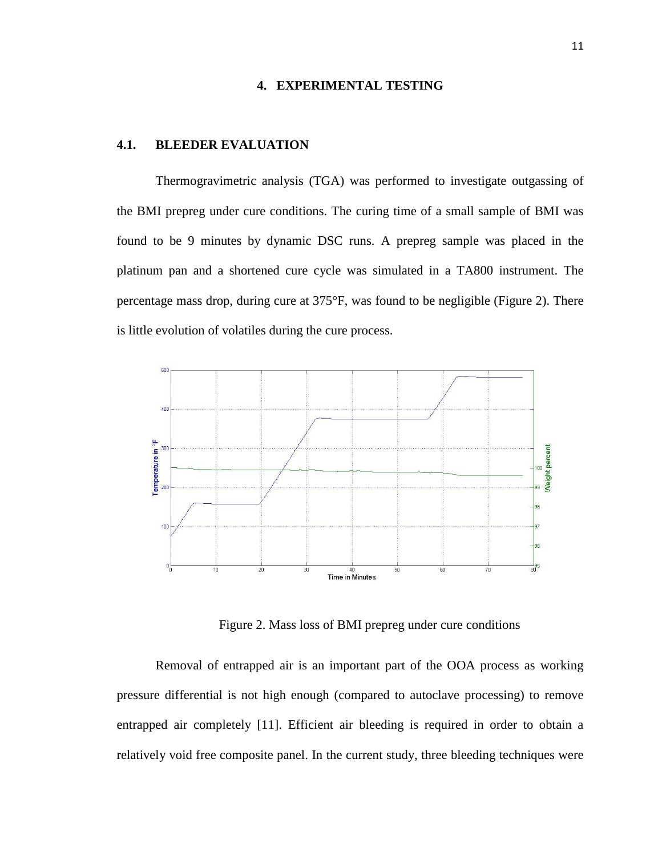#### **4. EXPERIMENTAL TESTING**

#### **4.1. BLEEDER EVALUATION**

Thermogravimetric analysis (TGA) was performed to investigate outgassing of the BMI prepreg under cure conditions. The curing time of a small sample of BMI was found to be 9 minutes by dynamic DSC runs. A prepreg sample was placed in the platinum pan and a shortened cure cycle was simulated in a TA800 instrument. The percentage mass drop, during cure at 375°F, was found to be negligible (Figure 2). There is little evolution of volatiles during the cure process.



Figure 2. Mass loss of BMI prepreg under cure conditions

Removal of entrapped air is an important part of the OOA process as working pressure differential is not high enough (compared to autoclave processing) to remove entrapped air completely [11]. Efficient air bleeding is required in order to obtain a relatively void free composite panel. In the current study, three bleeding techniques were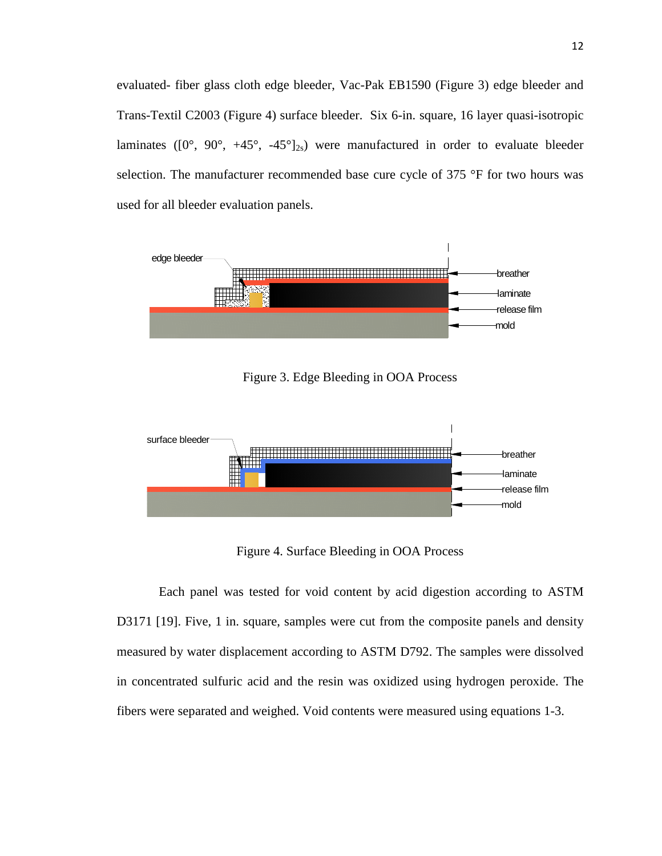evaluated- fiber glass cloth edge bleeder, Vac-Pak EB1590 (Figure 3) edge bleeder and Trans-Textil C2003 (Figure 4) surface bleeder. Six 6-in. square, 16 layer quasi-isotropic laminates ( $[0^{\circ}, 90^{\circ}, +45^{\circ}, -45^{\circ}]_{2s}$ ) were manufactured in order to evaluate bleeder selection. The manufacturer recommended base cure cycle of 375 °F for two hours was used for all bleeder evaluation panels.



Figure 3. Edge Bleeding in OOA Process



Figure 4. Surface Bleeding in OOA Process

 Each panel was tested for void content by acid digestion according to ASTM D3171 [19]. Five, 1 in. square, samples were cut from the composite panels and density measured by water displacement according to ASTM D792. The samples were dissolved in concentrated sulfuric acid and the resin was oxidized using hydrogen peroxide. The fibers were separated and weighed. Void contents were measured using equations 1-3.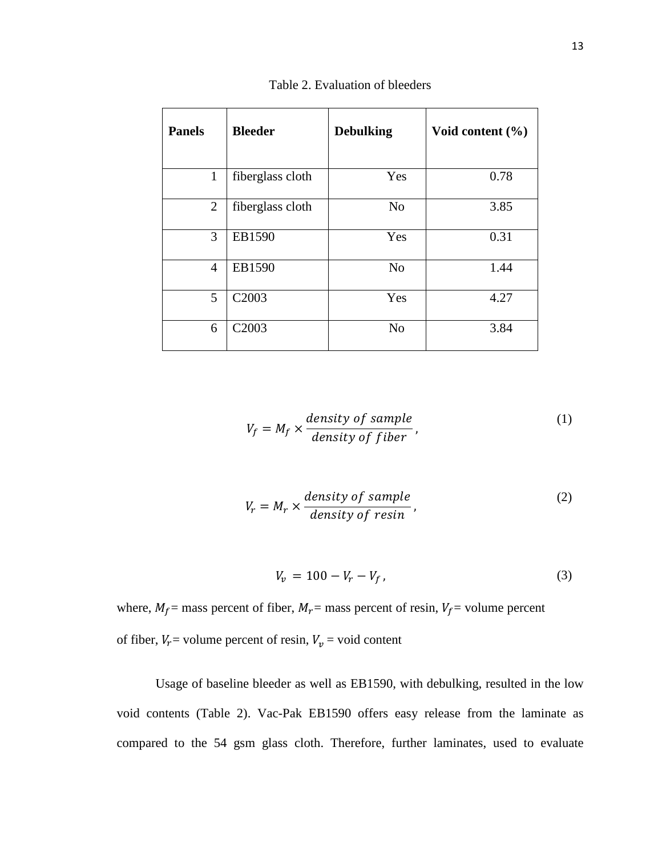| <b>Panels</b>  | <b>Bleeder</b>    | <b>Debulking</b> | Void content $(\% )$ |
|----------------|-------------------|------------------|----------------------|
| $\mathbf{1}$   | fiberglass cloth  | Yes              | 0.78                 |
| 2              | fiberglass cloth  | N <sub>o</sub>   | 3.85                 |
| 3              | EB1590            | Yes              | 0.31                 |
| $\overline{4}$ | EB1590            | N <sub>o</sub>   | 1.44                 |
| 5              | C <sub>2003</sub> | Yes              | 4.27                 |
| 6              | C <sub>2003</sub> | N <sub>o</sub>   | 3.84                 |

Table 2. Evaluation of bleeders

$$
V_f = M_f \times \frac{density \ of \ sample}{density \ of \ fiber}, \tag{1}
$$

$$
V_r = M_r \times \frac{density \ of \ sample}{density \ of \ resin}, \tag{2}
$$

$$
V_v = 100 - V_r - V_f, \t\t(3)
$$

where,  $M_f$  = mass percent of fiber,  $M_r$  = mass percent of resin,  $V_f$  = volume percent of fiber,  $V_r$  = volume percent of resin,  $V_v$  = void content

Usage of baseline bleeder as well as EB1590, with debulking, resulted in the low void contents (Table 2). Vac-Pak EB1590 offers easy release from the laminate as compared to the 54 gsm glass cloth. Therefore, further laminates, used to evaluate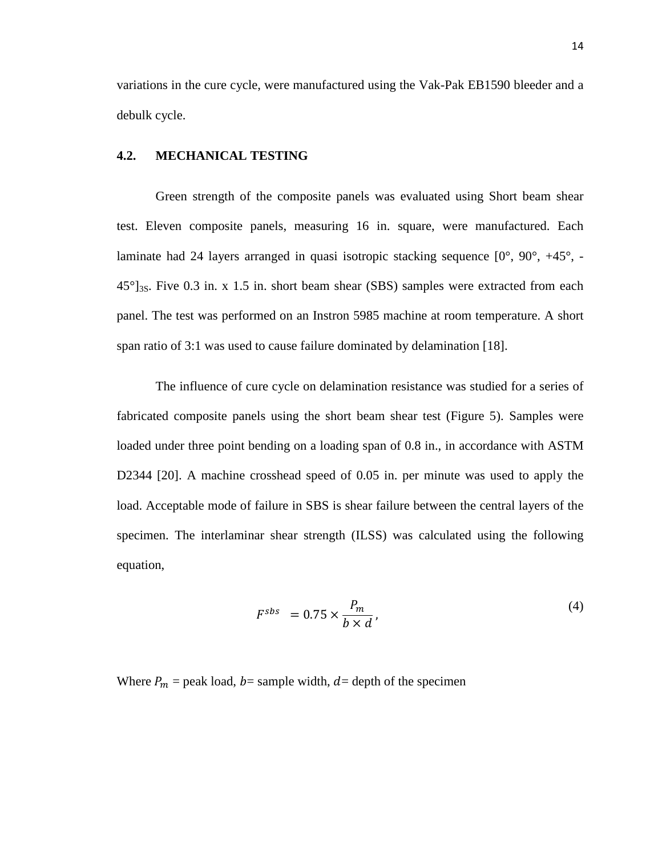variations in the cure cycle, were manufactured using the Vak-Pak EB1590 bleeder and a debulk cycle.

#### **4.2. MECHANICAL TESTING**

Green strength of the composite panels was evaluated using Short beam shear test. Eleven composite panels, measuring 16 in. square, were manufactured. Each laminate had 24 layers arranged in quasi isotropic stacking sequence [0°, 90°, +45°, -  $45^{\circ}$ <sub>3S</sub>. Five 0.3 in. x 1.5 in. short beam shear (SBS) samples were extracted from each panel. The test was performed on an Instron 5985 machine at room temperature. A short span ratio of 3:1 was used to cause failure dominated by delamination [18].

The influence of cure cycle on delamination resistance was studied for a series of fabricated composite panels using the short beam shear test (Figure 5). Samples were loaded under three point bending on a loading span of 0.8 in., in accordance with ASTM D2344 [20]. A machine crosshead speed of 0.05 in. per minute was used to apply the load. Acceptable mode of failure in SBS is shear failure between the central layers of the specimen. The interlaminar shear strength (ILSS) was calculated using the following equation,

$$
F^{sbs} = 0.75 \times \frac{P_m}{b \times d},\tag{4}
$$

Where  $P_m$  = peak load, b= sample width, d= depth of the specimen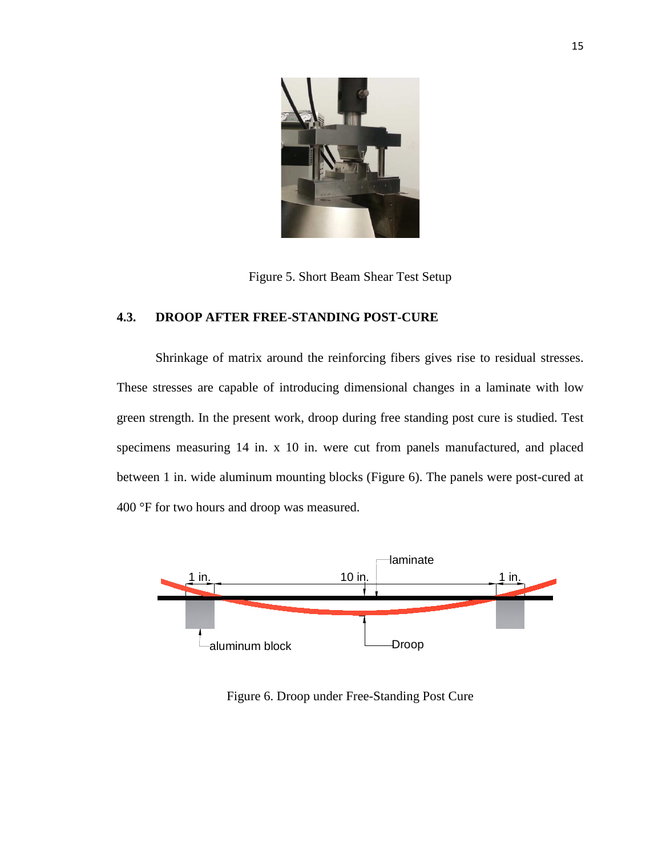

Figure 5. Short Beam Shear Test Setup

### **4.3. DROOP AFTER FREE-STANDING POST-CURE**

Shrinkage of matrix around the reinforcing fibers gives rise to residual stresses. These stresses are capable of introducing dimensional changes in a laminate with low green strength. In the present work, droop during free standing post cure is studied. Test specimens measuring 14 in. x 10 in. were cut from panels manufactured, and placed between 1 in. wide aluminum mounting blocks (Figure 6). The panels were post-cured at 400 °F for two hours and droop was measured.



Figure 6. Droop under Free-Standing Post Cure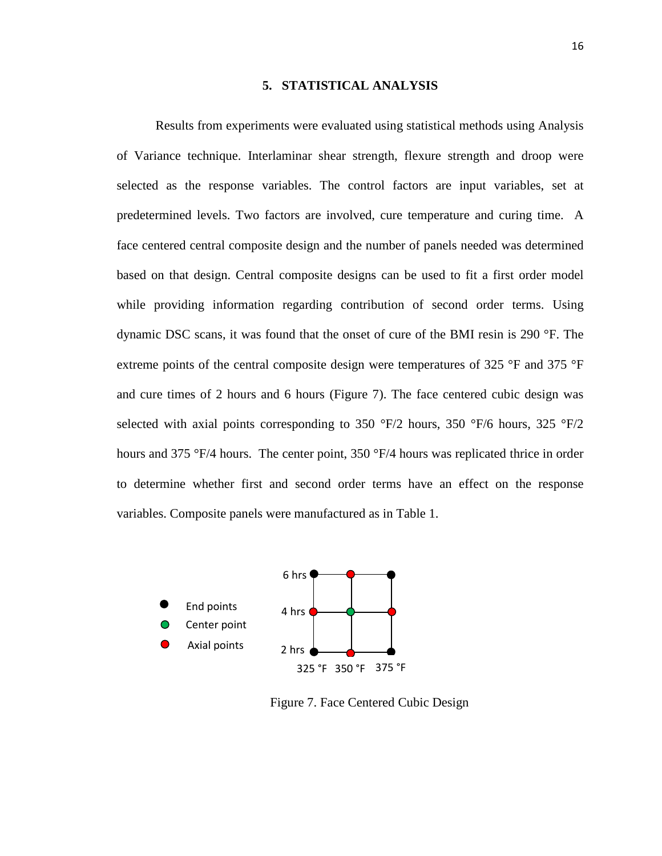#### **5. STATISTICAL ANALYSIS**

Results from experiments were evaluated using statistical methods using Analysis of Variance technique. Interlaminar shear strength, flexure strength and droop were selected as the response variables. The control factors are input variables, set at predetermined levels. Two factors are involved, cure temperature and curing time. A face centered central composite design and the number of panels needed was determined based on that design. Central composite designs can be used to fit a first order model while providing information regarding contribution of second order terms. Using dynamic DSC scans, it was found that the onset of cure of the BMI resin is 290 °F. The extreme points of the central composite design were temperatures of 325 °F and 375 °F and cure times of 2 hours and 6 hours (Figure 7). The face centered cubic design was selected with axial points corresponding to 350  $\degree$ F/2 hours, 350  $\degree$ F/6 hours, 325  $\degree$ F/2 hours and 375 °F/4 hours. The center point, 350 °F/4 hours was replicated thrice in order to determine whether first and second order terms have an effect on the response variables. Composite panels were manufactured as in Table 1.



Figure 7. Face Centered Cubic Design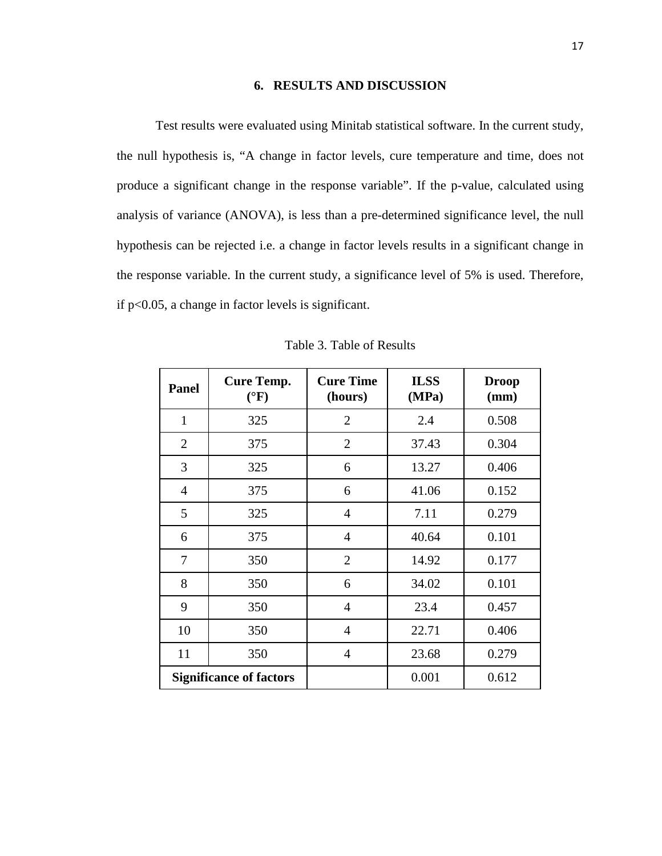#### **6. RESULTS AND DISCUSSION**

Test results were evaluated using Minitab statistical software. In the current study, the null hypothesis is, "A change in factor levels, cure temperature and time, does not produce a significant change in the response variable". If the p-value, calculated using analysis of variance (ANOVA), is less than a pre-determined significance level, the null hypothesis can be rejected i.e. a change in factor levels results in a significant change in the response variable. In the current study, a significance level of 5% is used. Therefore, if p<0.05, a change in factor levels is significant.

| <b>Panel</b>   | <b>Cure Temp.</b><br>$({}^{\circ}F)$ | <b>Cure Time</b><br>(hours) | <b>ILSS</b><br>(MPa) | <b>Droop</b><br>(mm) |
|----------------|--------------------------------------|-----------------------------|----------------------|----------------------|
| $\mathbf{1}$   | 325                                  | $\overline{2}$              | 2.4                  | 0.508                |
| $\overline{2}$ | 375                                  | $\overline{2}$              | 37.43                | 0.304                |
| 3              | 325                                  | 6                           | 13.27                | 0.406                |
| $\overline{4}$ | 375                                  | 6                           | 41.06                | 0.152                |
| 5              | 325                                  | $\overline{4}$              | 7.11                 | 0.279                |
| 6              | 375                                  | $\overline{4}$              | 40.64                | 0.101                |
| $\overline{7}$ | 350                                  | $\overline{2}$              | 14.92                | 0.177                |
| 8              | 350                                  | 6                           | 34.02                | 0.101                |
| 9              | 350                                  | 4                           | 23.4                 | 0.457                |
| 10             | 350                                  | $\overline{4}$              | 22.71                | 0.406                |
| 11             | 350                                  | $\overline{4}$              | 23.68                | 0.279                |
|                | <b>Significance of factors</b>       |                             | 0.001                | 0.612                |

Table 3. Table of Results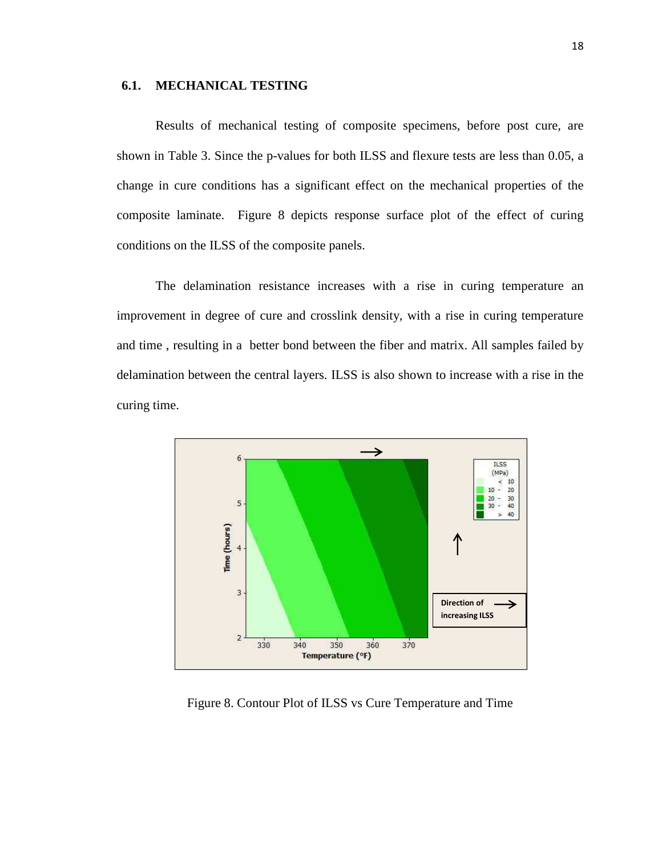#### **6.1. MECHANICAL TESTING**

Results of mechanical testing of composite specimens, before post cure, are shown in Table 3. Since the p-values for both ILSS and flexure tests are less than 0.05, a change in cure conditions has a significant effect on the mechanical properties of the composite laminate. Figure 8 depicts response surface plot of the effect of curing conditions on the ILSS of the composite panels.

The delamination resistance increases with a rise in curing temperature an improvement in degree of cure and crosslink density, with a rise in curing temperature and time , resulting in a better bond between the fiber and matrix. All samples failed by delamination between the central layers. ILSS is also shown to increase with a rise in the curing time.



Figure 8. Contour Plot of ILSS vs Cure Temperature and Time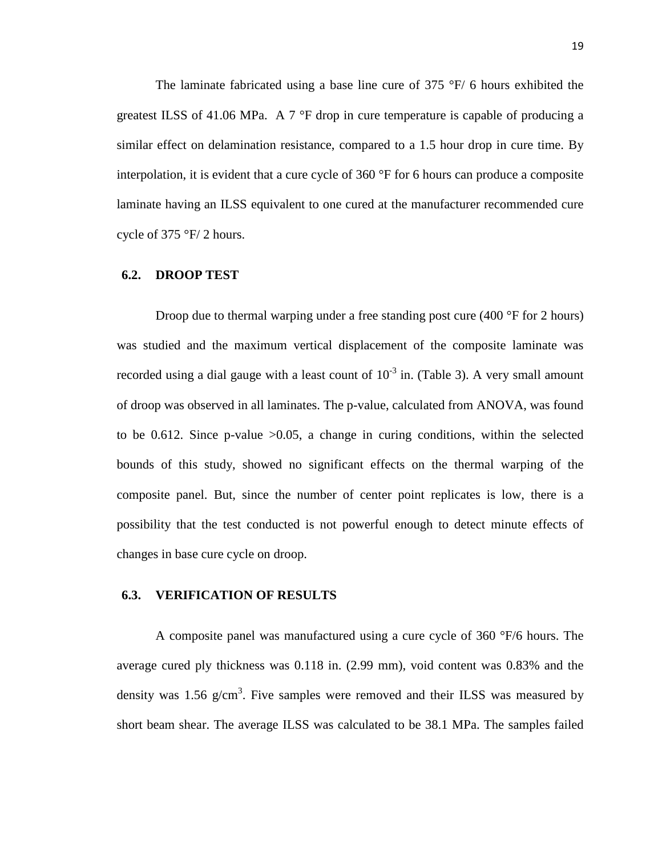The laminate fabricated using a base line cure of  $375 \text{ °F}$  6 hours exhibited the greatest ILSS of 41.06 MPa. A 7 °F drop in cure temperature is capable of producing a similar effect on delamination resistance, compared to a 1.5 hour drop in cure time. By interpolation, it is evident that a cure cycle of 360 °F for 6 hours can produce a composite laminate having an ILSS equivalent to one cured at the manufacturer recommended cure cycle of 375 °F/ 2 hours.

#### **6.2. DROOP TEST**

Droop due to thermal warping under a free standing post cure (400 °F for 2 hours) was studied and the maximum vertical displacement of the composite laminate was recorded using a dial gauge with a least count of  $10^{-3}$  in. (Table 3). A very small amount of droop was observed in all laminates. The p-value, calculated from ANOVA, was found to be 0.612. Since p-value >0.05, a change in curing conditions, within the selected bounds of this study, showed no significant effects on the thermal warping of the composite panel. But, since the number of center point replicates is low, there is a possibility that the test conducted is not powerful enough to detect minute effects of changes in base cure cycle on droop.

#### **6.3. VERIFICATION OF RESULTS**

A composite panel was manufactured using a cure cycle of 360 °F/6 hours. The average cured ply thickness was 0.118 in. (2.99 mm), void content was 0.83% and the density was 1.56  $g/cm<sup>3</sup>$ . Five samples were removed and their ILSS was measured by short beam shear. The average ILSS was calculated to be 38.1 MPa. The samples failed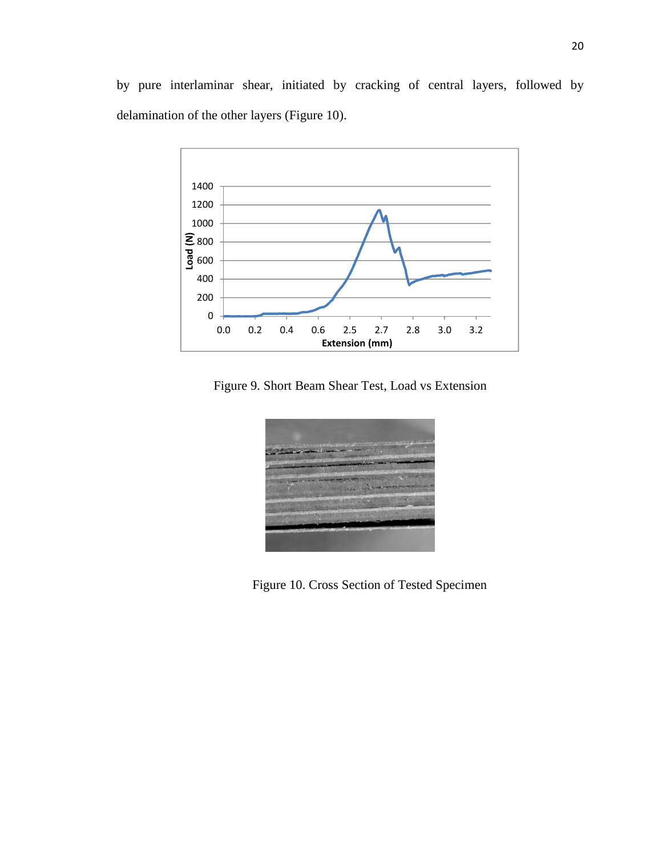

Figure 9. Short Beam Shear Test, Load vs Extension



Figure 10. Cross Section of Tested Specimen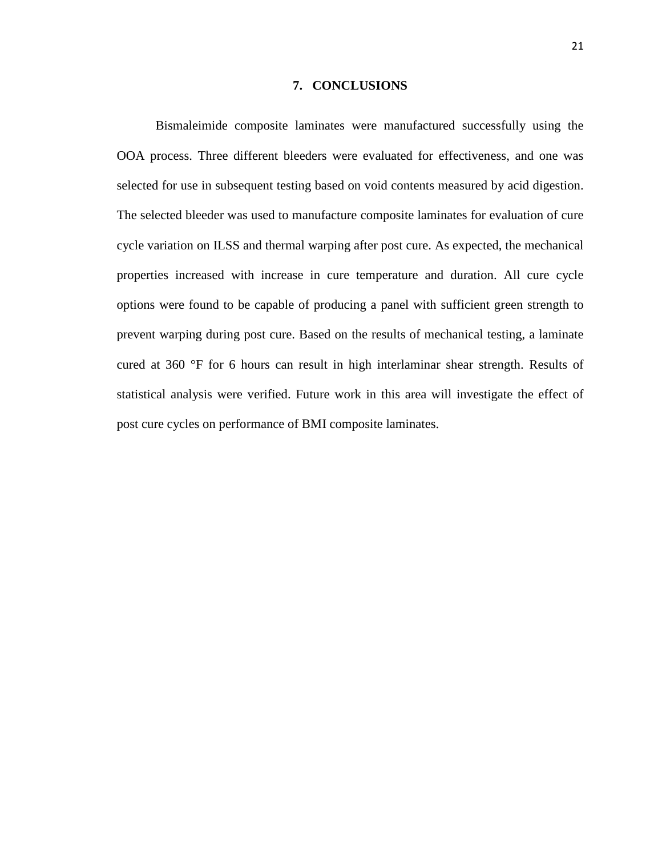#### **7. CONCLUSIONS**

Bismaleimide composite laminates were manufactured successfully using the OOA process. Three different bleeders were evaluated for effectiveness, and one was selected for use in subsequent testing based on void contents measured by acid digestion. The selected bleeder was used to manufacture composite laminates for evaluation of cure cycle variation on ILSS and thermal warping after post cure. As expected, the mechanical properties increased with increase in cure temperature and duration. All cure cycle options were found to be capable of producing a panel with sufficient green strength to prevent warping during post cure. Based on the results of mechanical testing, a laminate cured at 360 °F for 6 hours can result in high interlaminar shear strength. Results of statistical analysis were verified. Future work in this area will investigate the effect of post cure cycles on performance of BMI composite laminates.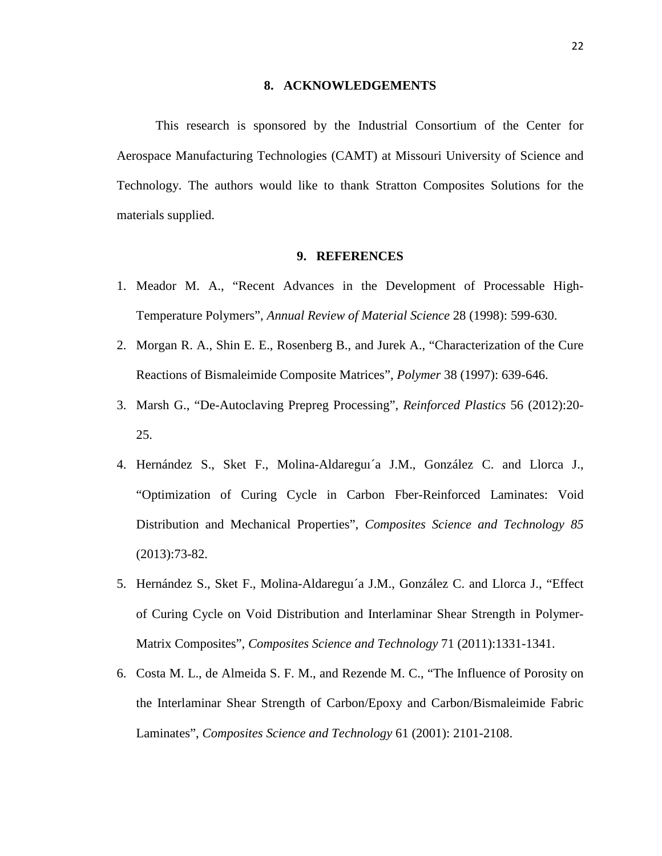#### **8. ACKNOWLEDGEMENTS**

This research is sponsored by the Industrial Consortium of the Center for Aerospace Manufacturing Technologies (CAMT) at Missouri University of Science and Technology. The authors would like to thank Stratton Composites Solutions for the materials supplied.

#### **9. REFERENCES**

- 1. Meador M. A., "Recent Advances in the Development of Processable High-Temperature Polymers", *Annual Review of Material Science* 28 (1998): 599-630.
- 2. Morgan R. A., Shin E. E., Rosenberg B., and Jurek A., "Characterization of the Cure Reactions of Bismaleimide Composite Matrices", *Polymer* 38 (1997): 639-646.
- 3. Marsh G., "De-Autoclaving Prepreg Processing", *Reinforced Plastics* 56 (2012):20- 25.
- 4. Hernández S., Sket F., Molina-Aldareguı´a J.M., González C. and Llorca J., "Optimization of Curing Cycle in Carbon Fber-Reinforced Laminates: Void Distribution and Mechanical Properties", *Composites Science and Technology 85* (2013):73-82.
- 5. Hernández S., Sket F., Molina-Aldareguı´a J.M., González C. and Llorca J., "Effect of Curing Cycle on Void Distribution and Interlaminar Shear Strength in Polymer-Matrix Composites", *Composites Science and Technology* 71 (2011):1331-1341.
- 6. Costa M. L., de Almeida S. F. M., and Rezende M. C., "The Influence of Porosity on the Interlaminar Shear Strength of Carbon/Epoxy and Carbon/Bismaleimide Fabric Laminates", *Composites Science and Technology* 61 (2001): 2101-2108.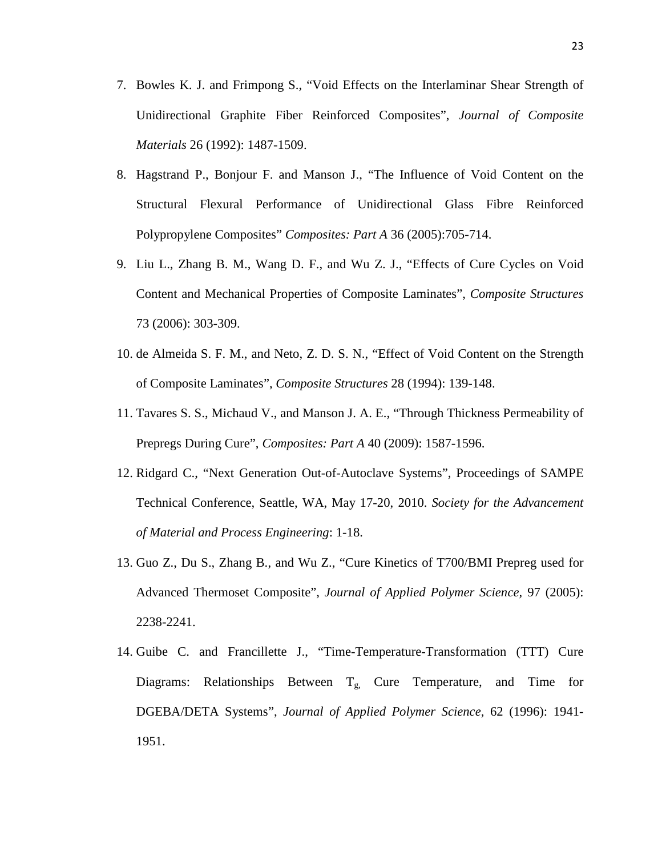- 7. Bowles K. J. and Frimpong S., "Void Effects on the Interlaminar Shear Strength of Unidirectional Graphite Fiber Reinforced Composites", *Journal of Composite Materials* 26 (1992): 1487-1509.
- 8. Hagstrand P., Bonjour F. and Manson J., "The Influence of Void Content on the Structural Flexural Performance of Unidirectional Glass Fibre Reinforced Polypropylene Composites" *Composites: Part A* 36 (2005):705-714.
- 9. Liu L., Zhang B. M., Wang D. F., and Wu Z. J., "Effects of Cure Cycles on Void Content and Mechanical Properties of Composite Laminates", *Composite Structures*  73 (2006): 303-309.
- 10. de Almeida S. F. M., and Neto, Z. D. S. N., "Effect of Void Content on the Strength of Composite Laminates", *Composite Structures* 28 (1994): 139-148.
- 11. Tavares S. S., Michaud V., and Manson J. A. E., "Through Thickness Permeability of Prepregs During Cure", *Composites: Part A* 40 (2009): 1587-1596.
- 12. Ridgard C., "Next Generation Out-of-Autoclave Systems", Proceedings of SAMPE Technical Conference, Seattle, WA, May 17-20, 2010. *Society for the Advancement of Material and Process Engineering*: 1-18.
- 13. Guo Z., Du S., Zhang B., and Wu Z., "Cure Kinetics of T700/BMI Prepreg used for Advanced Thermoset Composite", *Journal of Applied Polymer Science,* 97 (2005): 2238-2241.
- 14. Guibe C. and Francillette J., "Time-Temperature-Transformation (TTT) Cure Diagrams: Relationships Between  $T_{g}$  Cure Temperature, and Time for DGEBA/DETA Systems", *Journal of Applied Polymer Science,* 62 (1996): 1941- 1951.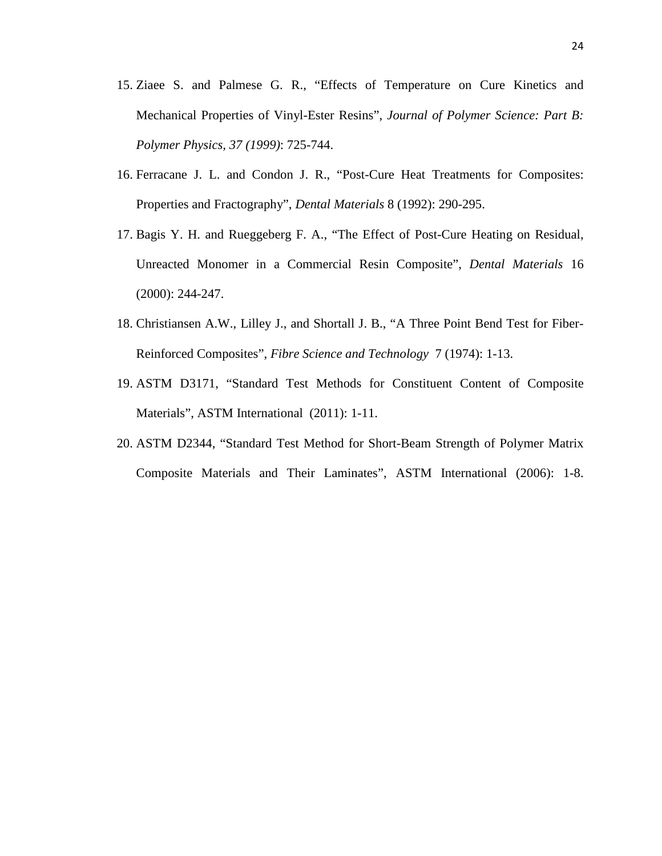- 15. Ziaee S. and Palmese G. R., "Effects of Temperature on Cure Kinetics and Mechanical Properties of Vinyl-Ester Resins", *Journal of Polymer Science: Part B: Polymer Physics, 37 (1999)*: 725-744.
- 16. Ferracane J. L. and Condon J. R., "Post-Cure Heat Treatments for Composites: Properties and Fractography", *Dental Materials* 8 (1992): 290-295.
- 17. Bagis Y. H. and Rueggeberg F. A., "The Effect of Post-Cure Heating on Residual, Unreacted Monomer in a Commercial Resin Composite", *Dental Materials* 16 (2000): 244-247.
- 18. Christiansen A.W., Lilley J., and Shortall J. B., "A Three Point Bend Test for Fiber-Reinforced Composites", *Fibre Science and Technology* 7 (1974): 1-13.
- 19. ASTM D3171, "Standard Test Methods for Constituent Content of Composite Materials", ASTM International (2011): 1-11.
- 20. ASTM D2344, "Standard Test Method for Short-Beam Strength of Polymer Matrix Composite Materials and Their Laminates", ASTM International (2006): 1-8.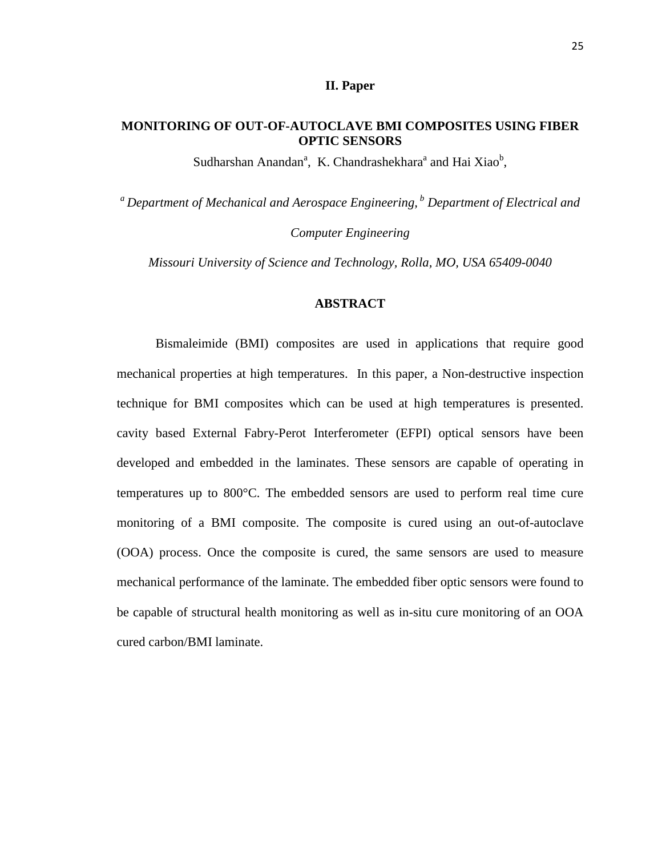#### **II. Paper**

#### **MONITORING OF OUT-OF-AUTOCLAVE BMI COMPOSITES USING FIBER OPTIC SENSORS**

Sudharshan Anandan<sup>a</sup>, K. Chandrashekhara<sup>a</sup> and Hai Xiao<sup>b</sup>,

*<sup>a</sup>Department of Mechanical and Aerospace Engineering,<sup>b</sup> Department of Electrical and Computer Engineering*

*Missouri University of Science and Technology, Rolla, MO, USA 65409-0040* 

#### **ABSTRACT**

Bismaleimide (BMI) composites are used in applications that require good mechanical properties at high temperatures. In this paper, a Non-destructive inspection technique for BMI composites which can be used at high temperatures is presented. cavity based External Fabry-Perot Interferometer (EFPI) optical sensors have been developed and embedded in the laminates. These sensors are capable of operating in temperatures up to 800°C. The embedded sensors are used to perform real time cure monitoring of a BMI composite. The composite is cured using an out-of-autoclave (OOA) process. Once the composite is cured, the same sensors are used to measure mechanical performance of the laminate. The embedded fiber optic sensors were found to be capable of structural health monitoring as well as in-situ cure monitoring of an OOA cured carbon/BMI laminate.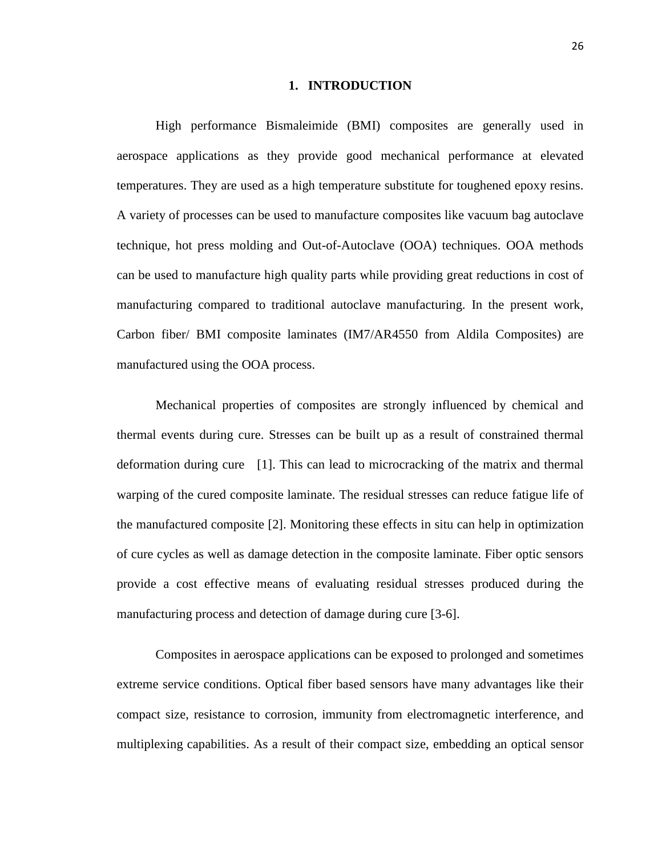#### **1. INTRODUCTION**

High performance Bismaleimide (BMI) composites are generally used in aerospace applications as they provide good mechanical performance at elevated temperatures. They are used as a high temperature substitute for toughened epoxy resins. A variety of processes can be used to manufacture composites like vacuum bag autoclave technique, hot press molding and Out-of-Autoclave (OOA) techniques. OOA methods can be used to manufacture high quality parts while providing great reductions in cost of manufacturing compared to traditional autoclave manufacturing. In the present work, Carbon fiber/ BMI composite laminates (IM7/AR4550 from Aldila Composites) are manufactured using the OOA process.

Mechanical properties of composites are strongly influenced by chemical and thermal events during cure. Stresses can be built up as a result of constrained thermal deformation during cure [1]. This can lead to microcracking of the matrix and thermal warping of the cured composite laminate. The residual stresses can reduce fatigue life of the manufactured composite [2]. Monitoring these effects in situ can help in optimization of cure cycles as well as damage detection in the composite laminate. Fiber optic sensors provide a cost effective means of evaluating residual stresses produced during the manufacturing process and detection of damage during cure [3-6].

Composites in aerospace applications can be exposed to prolonged and sometimes extreme service conditions. Optical fiber based sensors have many advantages like their compact size, resistance to corrosion, immunity from electromagnetic interference, and multiplexing capabilities. As a result of their compact size, embedding an optical sensor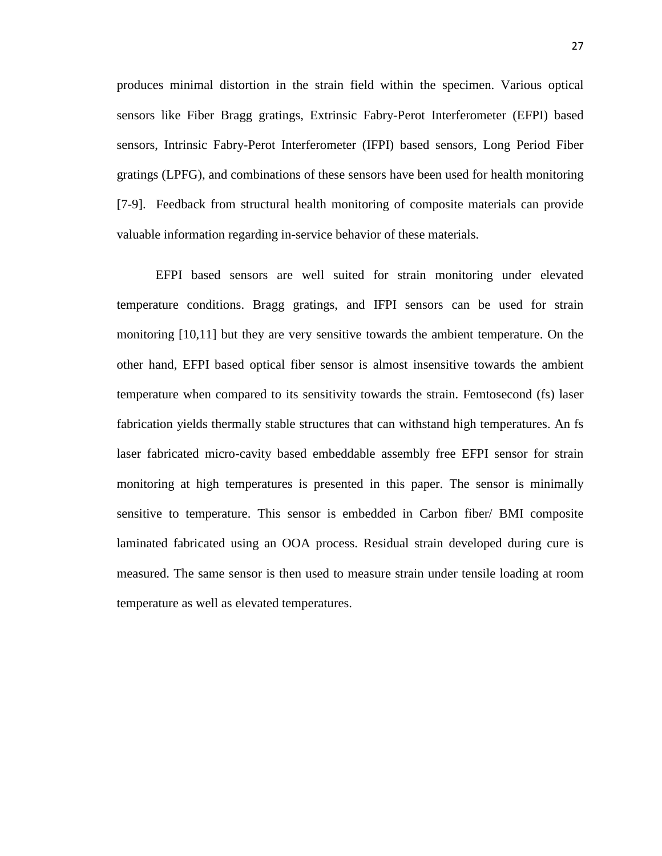produces minimal distortion in the strain field within the specimen. Various optical sensors like Fiber Bragg gratings, Extrinsic Fabry-Perot Interferometer (EFPI) based sensors, Intrinsic Fabry-Perot Interferometer (IFPI) based sensors, Long Period Fiber gratings (LPFG), and combinations of these sensors have been used for health monitoring [7-9]. Feedback from structural health monitoring of composite materials can provide valuable information regarding in-service behavior of these materials.

EFPI based sensors are well suited for strain monitoring under elevated temperature conditions. Bragg gratings, and IFPI sensors can be used for strain monitoring [10,11] but they are very sensitive towards the ambient temperature. On the other hand, EFPI based optical fiber sensor is almost insensitive towards the ambient temperature when compared to its sensitivity towards the strain. Femtosecond (fs) laser fabrication yields thermally stable structures that can withstand high temperatures. An fs laser fabricated micro-cavity based embeddable assembly free EFPI sensor for strain monitoring at high temperatures is presented in this paper. The sensor is minimally sensitive to temperature. This sensor is embedded in Carbon fiber/ BMI composite laminated fabricated using an OOA process. Residual strain developed during cure is measured. The same sensor is then used to measure strain under tensile loading at room temperature as well as elevated temperatures.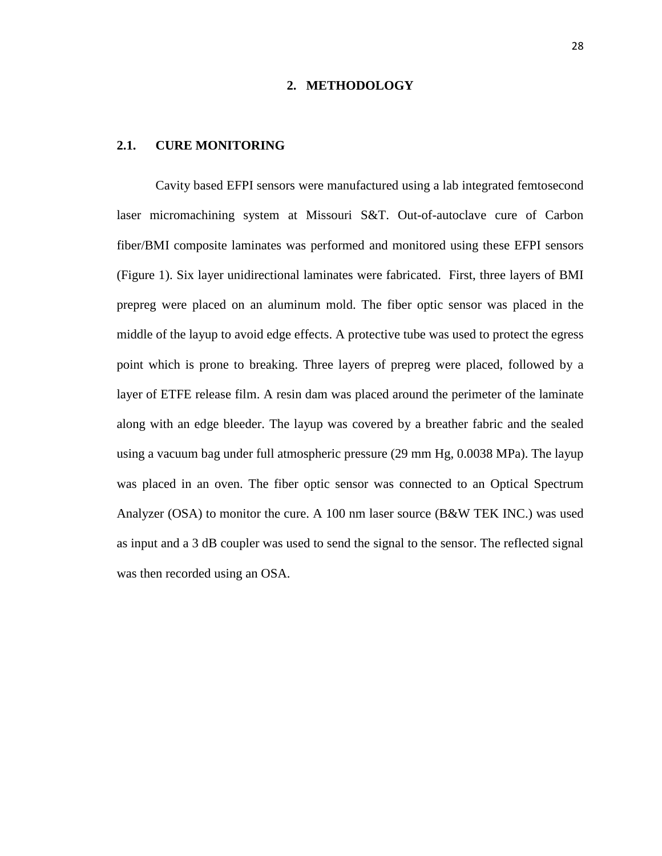#### **2. METHODOLOGY**

#### **2.1. CURE MONITORING**

Cavity based EFPI sensors were manufactured using a lab integrated femtosecond laser micromachining system at Missouri S&T. Out-of-autoclave cure of Carbon fiber/BMI composite laminates was performed and monitored using these EFPI sensors (Figure 1). Six layer unidirectional laminates were fabricated. First, three layers of BMI prepreg were placed on an aluminum mold. The fiber optic sensor was placed in the middle of the layup to avoid edge effects. A protective tube was used to protect the egress point which is prone to breaking. Three layers of prepreg were placed, followed by a layer of ETFE release film. A resin dam was placed around the perimeter of the laminate along with an edge bleeder. The layup was covered by a breather fabric and the sealed using a vacuum bag under full atmospheric pressure (29 mm Hg, 0.0038 MPa). The layup was placed in an oven. The fiber optic sensor was connected to an Optical Spectrum Analyzer (OSA) to monitor the cure. A 100 nm laser source (B&W TEK INC.) was used as input and a 3 dB coupler was used to send the signal to the sensor. The reflected signal was then recorded using an OSA.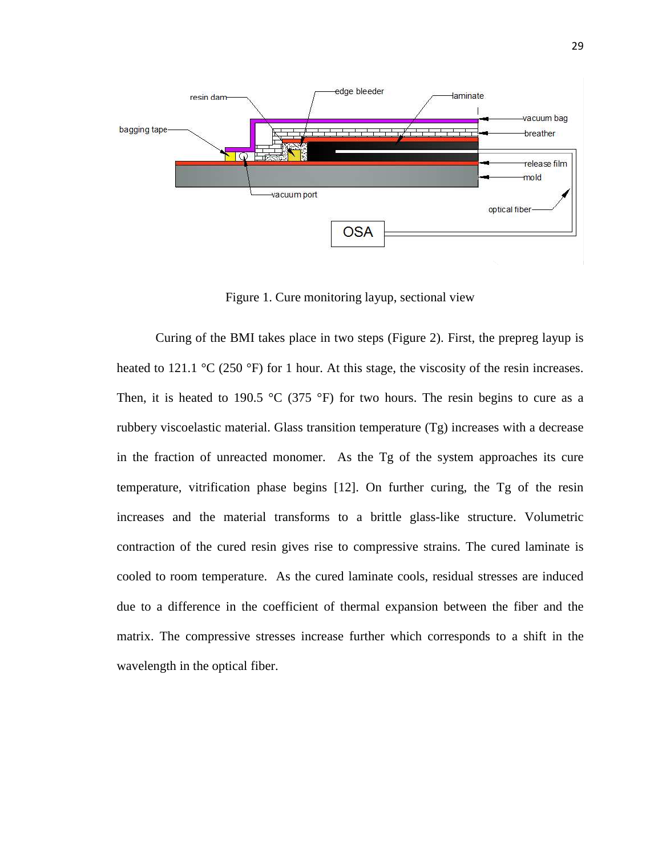

Figure 1. Cure monitoring layup, sectional view

Curing of the BMI takes place in two steps (Figure 2). First, the prepreg layup is heated to 121.1  $\rm{^{\circ}C}$  (250  $\rm{^{\circ}F}$ ) for 1 hour. At this stage, the viscosity of the resin increases. Then, it is heated to 190.5 °C (375 °F) for two hours. The resin begins to cure as a rubbery viscoelastic material. Glass transition temperature (Tg) increases with a decrease in the fraction of unreacted monomer. As the Tg of the system approaches its cure temperature, vitrification phase begins [12]. On further curing, the Tg of the resin increases and the material transforms to a brittle glass-like structure. Volumetric contraction of the cured resin gives rise to compressive strains. The cured laminate is cooled to room temperature. As the cured laminate cools, residual stresses are induced due to a difference in the coefficient of thermal expansion between the fiber and the matrix. The compressive stresses increase further which corresponds to a shift in the wavelength in the optical fiber.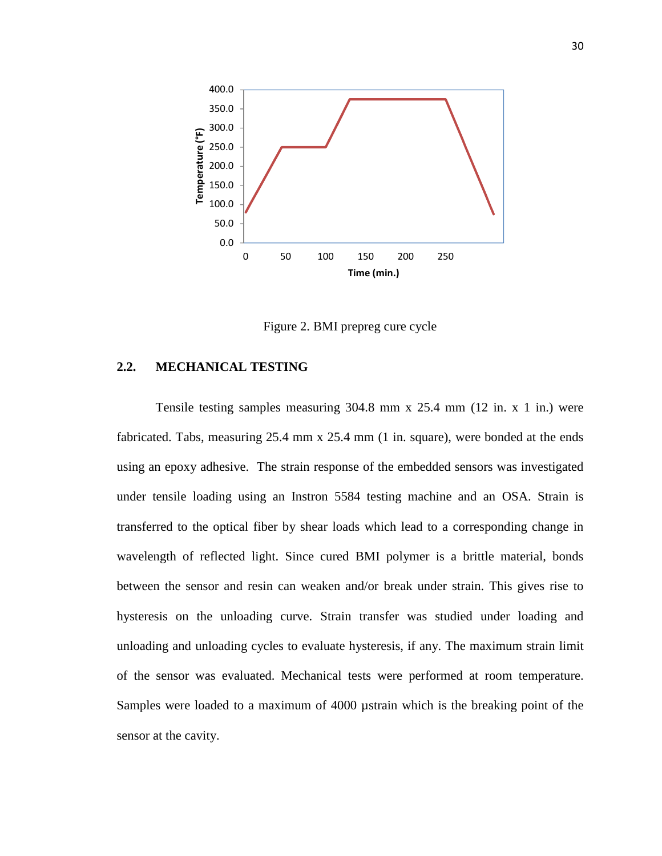

Figure 2. BMI prepreg cure cycle

#### **2.2. MECHANICAL TESTING**

Tensile testing samples measuring 304.8 mm x 25.4 mm (12 in. x 1 in.) were fabricated. Tabs, measuring 25.4 mm x 25.4 mm (1 in. square), were bonded at the ends using an epoxy adhesive. The strain response of the embedded sensors was investigated under tensile loading using an Instron 5584 testing machine and an OSA. Strain is transferred to the optical fiber by shear loads which lead to a corresponding change in wavelength of reflected light. Since cured BMI polymer is a brittle material, bonds between the sensor and resin can weaken and/or break under strain. This gives rise to hysteresis on the unloading curve. Strain transfer was studied under loading and unloading and unloading cycles to evaluate hysteresis, if any. The maximum strain limit of the sensor was evaluated. Mechanical tests were performed at room temperature. Samples were loaded to a maximum of 4000 µstrain which is the breaking point of the sensor at the cavity.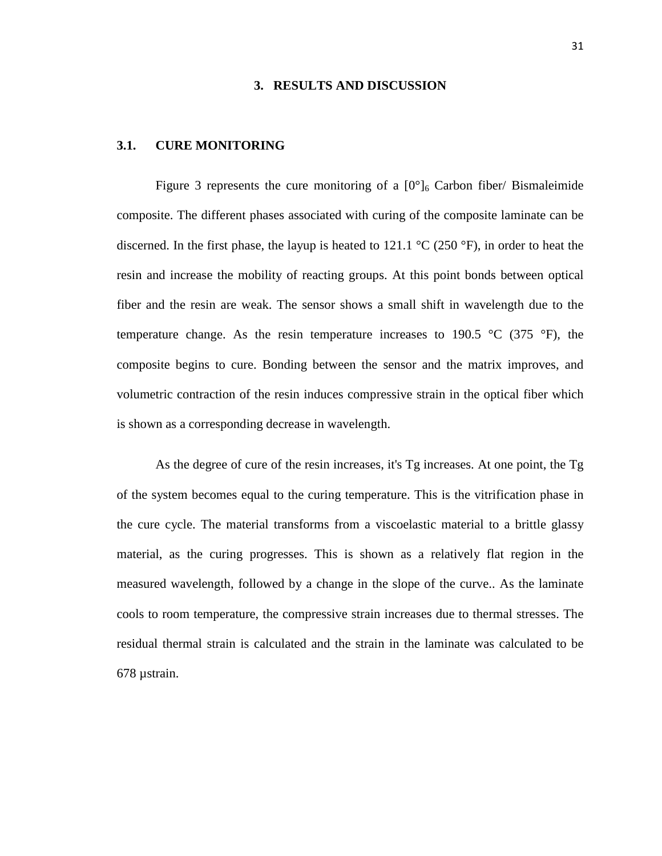#### **3. RESULTS AND DISCUSSION**

#### **3.1. CURE MONITORING**

Figure 3 represents the cure monitoring of a  $[0^\circ]_6$  Carbon fiber/ Bismaleimide composite. The different phases associated with curing of the composite laminate can be discerned. In the first phase, the layup is heated to 121.1  $\rm{°C}$  (250  $\rm{°F}$ ), in order to heat the resin and increase the mobility of reacting groups. At this point bonds between optical fiber and the resin are weak. The sensor shows a small shift in wavelength due to the temperature change. As the resin temperature increases to 190.5  $\degree$ C (375  $\degree$ F), the composite begins to cure. Bonding between the sensor and the matrix improves, and volumetric contraction of the resin induces compressive strain in the optical fiber which is shown as a corresponding decrease in wavelength.

As the degree of cure of the resin increases, it's Tg increases. At one point, the Tg of the system becomes equal to the curing temperature. This is the vitrification phase in the cure cycle. The material transforms from a viscoelastic material to a brittle glassy material, as the curing progresses. This is shown as a relatively flat region in the measured wavelength, followed by a change in the slope of the curve.. As the laminate cools to room temperature, the compressive strain increases due to thermal stresses. The residual thermal strain is calculated and the strain in the laminate was calculated to be 678 µstrain.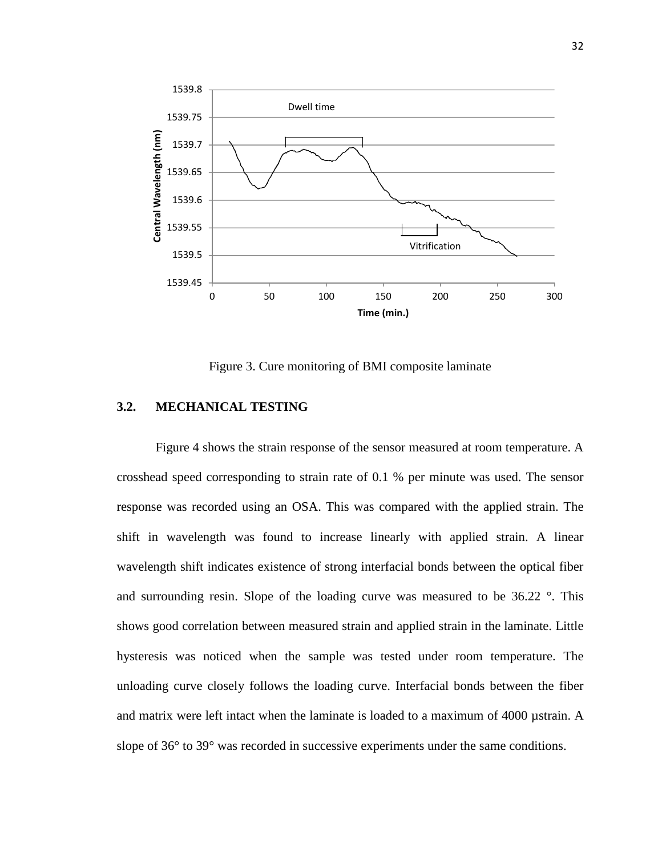

Figure 3. Cure monitoring of BMI composite laminate

## **3.2. MECHANICAL TESTING**

Figure 4 shows the strain response of the sensor measured at room temperature. A crosshead speed corresponding to strain rate of 0.1 % per minute was used. The sensor response was recorded using an OSA. This was compared with the applied strain. The shift in wavelength was found to increase linearly with applied strain. A linear wavelength shift indicates existence of strong interfacial bonds between the optical fiber and surrounding resin. Slope of the loading curve was measured to be 36.22 °. This shows good correlation between measured strain and applied strain in the laminate. Little hysteresis was noticed when the sample was tested under room temperature. The unloading curve closely follows the loading curve. Interfacial bonds between the fiber and matrix were left intact when the laminate is loaded to a maximum of 4000 µstrain. A slope of 36° to 39° was recorded in successive experiments under the same conditions.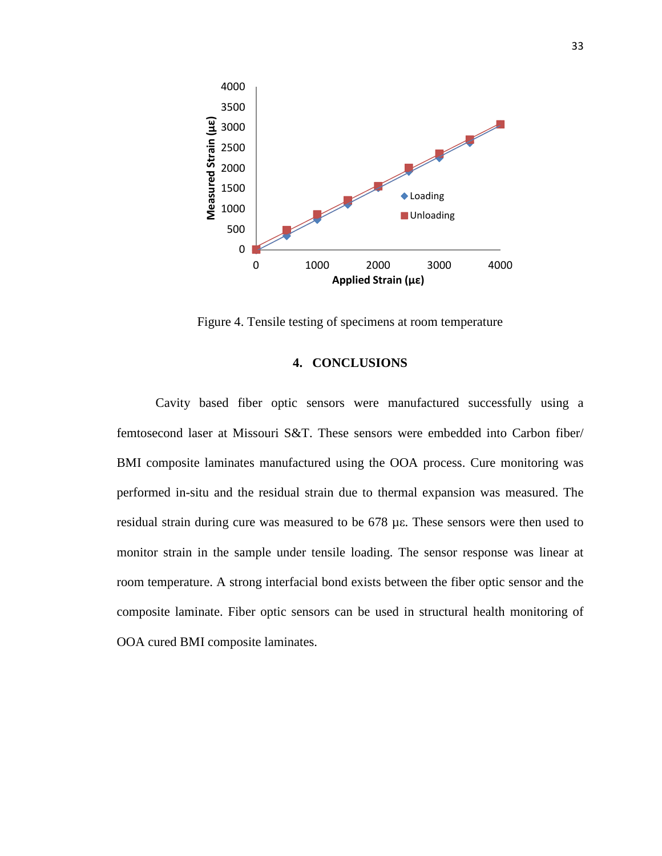

Figure 4. Tensile testing of specimens at room temperature

#### **4. CONCLUSIONS**

Cavity based fiber optic sensors were manufactured successfully using a femtosecond laser at Missouri S&T. These sensors were embedded into Carbon fiber/ BMI composite laminates manufactured using the OOA process. Cure monitoring was performed in-situ and the residual strain due to thermal expansion was measured. The residual strain during cure was measured to be 678 µε. These sensors were then used to monitor strain in the sample under tensile loading. The sensor response was linear at room temperature. A strong interfacial bond exists between the fiber optic sensor and the composite laminate. Fiber optic sensors can be used in structural health monitoring of OOA cured BMI composite laminates.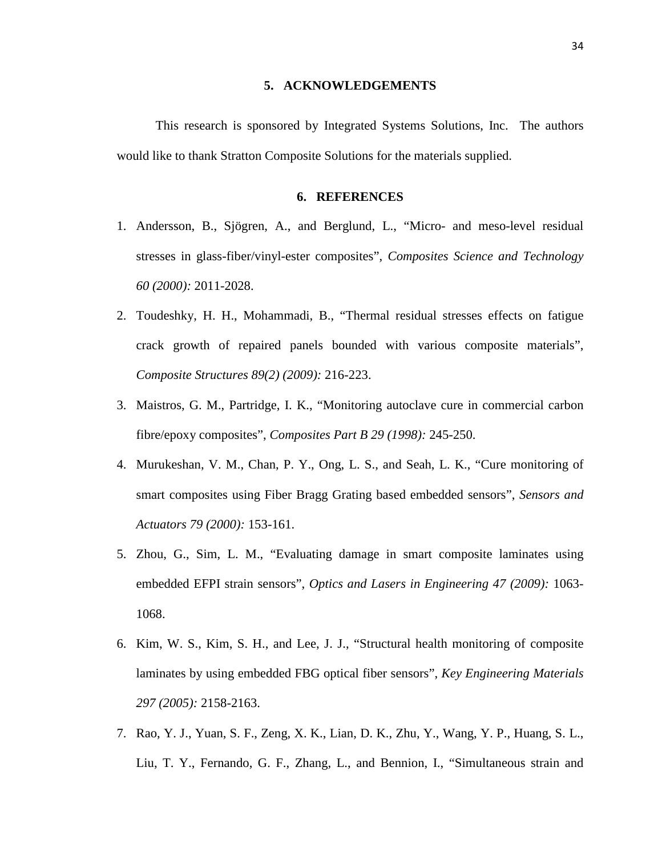#### **5. ACKNOWLEDGEMENTS**

This research is sponsored by Integrated Systems Solutions, Inc. The authors would like to thank Stratton Composite Solutions for the materials supplied.

#### **6. REFERENCES**

- 1. Andersson, B., Sjögren, A., and Berglund, L., "Micro- and meso-level residual stresses in glass-fiber/vinyl-ester composites", *Composites Science and Technology 60 (2000):* 2011-2028.
- 2. Toudeshky, H. H., Mohammadi, B., "Thermal residual stresses effects on fatigue crack growth of repaired panels bounded with various composite materials", *Composite Structures 89(2) (2009):* 216-223.
- 3. Maistros, G. M., Partridge, I. K., "Monitoring autoclave cure in commercial carbon fibre/epoxy composites", *Composites Part B 29 (1998):* 245-250.
- 4. Murukeshan, V. M., Chan, P. Y., Ong, L. S., and Seah, L. K., "Cure monitoring of smart composites using Fiber Bragg Grating based embedded sensors", *Sensors and Actuators 79 (2000):* 153-161.
- 5. Zhou, G., Sim, L. M., "Evaluating damage in smart composite laminates using embedded EFPI strain sensors", *Optics and Lasers in Engineering 47 (2009):* 1063- 1068.
- 6. Kim, W. S., Kim, S. H., and Lee, J. J., "Structural health monitoring of composite laminates by using embedded FBG optical fiber sensors", *Key Engineering Materials 297 (2005):* 2158-2163.
- 7. Rao, Y. J., Yuan, S. F., Zeng, X. K., Lian, D. K., Zhu, Y., Wang, Y. P., Huang, S. L., Liu, T. Y., Fernando, G. F., Zhang, L., and Bennion, I., "Simultaneous strain and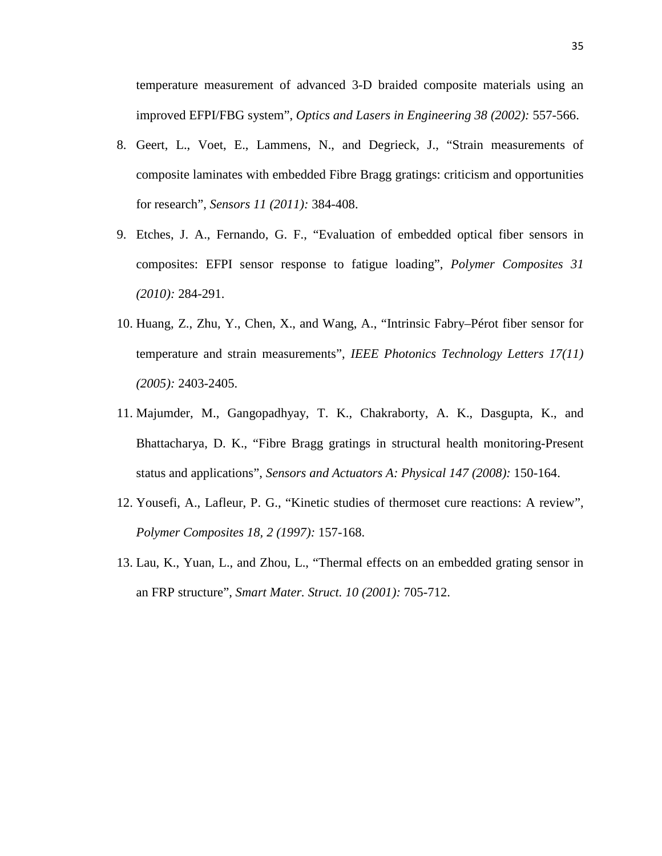temperature measurement of advanced 3-D braided composite materials using an improved EFPI/FBG system", *Optics and Lasers in Engineering 38 (2002):* 557-566.

- 8. Geert, L., Voet, E., Lammens, N., and Degrieck, J., "Strain measurements of composite laminates with embedded Fibre Bragg gratings: criticism and opportunities for research", *Sensors 11 (2011):* 384-408.
- 9. Etches, J. A., Fernando, G. F., "Evaluation of embedded optical fiber sensors in composites: EFPI sensor response to fatigue loading", *Polymer Composites 31 (2010):* 284-291.
- 10. Huang, Z., Zhu, Y., Chen, X., and Wang, A., "Intrinsic Fabry–Pérot fiber sensor for temperature and strain measurements", *IEEE Photonics Technology Letters 17(11) (2005):* 2403-2405.
- 11. Majumder, M., Gangopadhyay, T. K., Chakraborty, A. K., Dasgupta, K., and Bhattacharya, D. K., "Fibre Bragg gratings in structural health monitoring-Present status and applications", *Sensors and Actuators A: Physical 147 (2008):* 150-164.
- 12. Yousefi, A., Lafleur, P. G., "Kinetic studies of thermoset cure reactions: A review", *Polymer Composites 18, 2 (1997):* 157-168.
- 13. Lau, K., Yuan, L., and Zhou, L., "Thermal effects on an embedded grating sensor in an FRP structure", *Smart Mater. Struct. 10 (2001):* 705-712.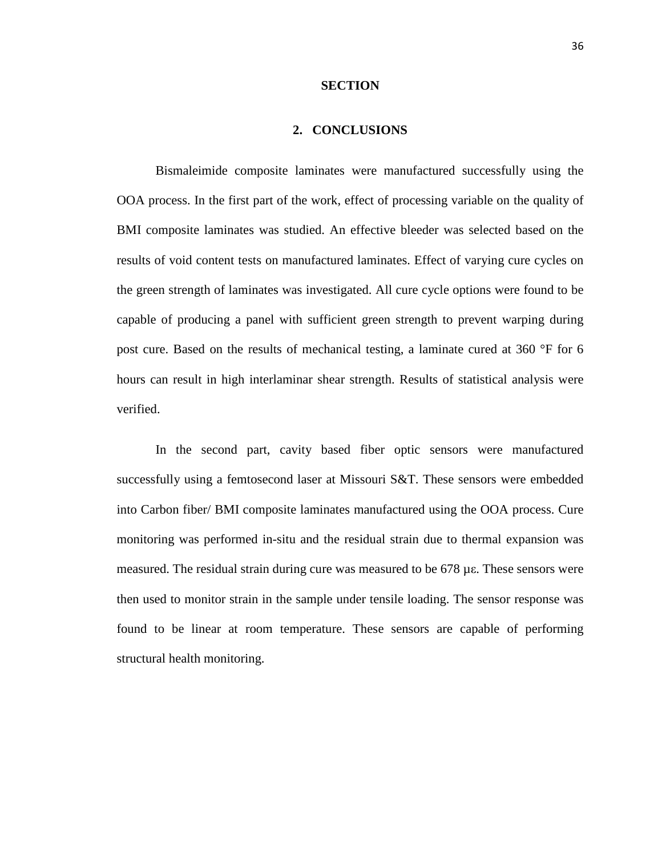#### **SECTION**

#### **2. CONCLUSIONS**

Bismaleimide composite laminates were manufactured successfully using the OOA process. In the first part of the work, effect of processing variable on the quality of BMI composite laminates was studied. An effective bleeder was selected based on the results of void content tests on manufactured laminates. Effect of varying cure cycles on the green strength of laminates was investigated. All cure cycle options were found to be capable of producing a panel with sufficient green strength to prevent warping during post cure. Based on the results of mechanical testing, a laminate cured at 360 °F for 6 hours can result in high interlaminar shear strength. Results of statistical analysis were verified.

In the second part, cavity based fiber optic sensors were manufactured successfully using a femtosecond laser at Missouri S&T. These sensors were embedded into Carbon fiber/ BMI composite laminates manufactured using the OOA process. Cure monitoring was performed in-situ and the residual strain due to thermal expansion was measured. The residual strain during cure was measured to be 678 µε. These sensors were then used to monitor strain in the sample under tensile loading. The sensor response was found to be linear at room temperature. These sensors are capable of performing structural health monitoring.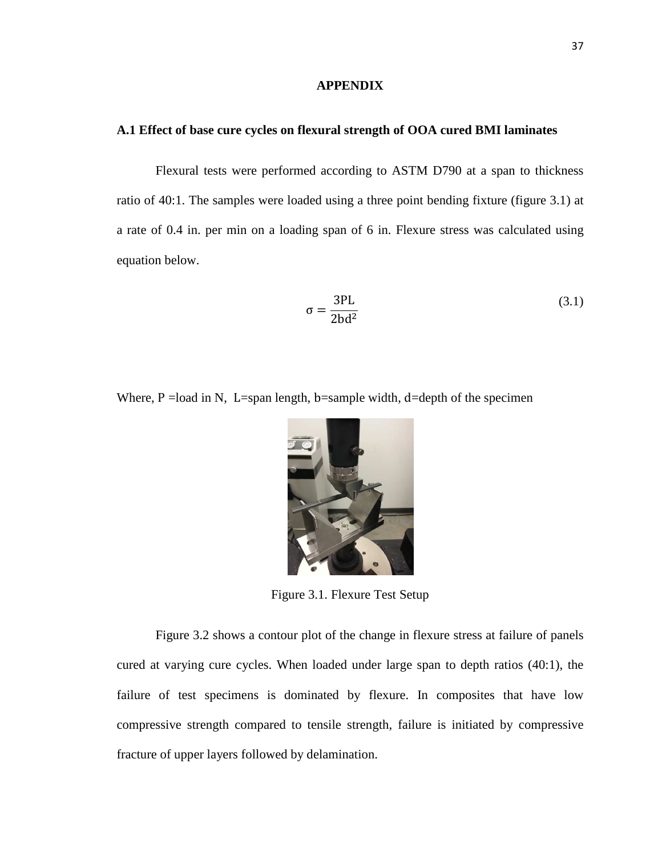#### **APPENDIX**

#### **A.1 Effect of base cure cycles on flexural strength of OOA cured BMI laminates**

Flexural tests were performed according to ASTM D790 at a span to thickness ratio of 40:1. The samples were loaded using a three point bending fixture (figure 3.1) at a rate of 0.4 in. per min on a loading span of 6 in. Flexure stress was calculated using equation below.

$$
\sigma = \frac{3\text{PL}}{2\text{bd}^2} \tag{3.1}
$$

Where,  $P = load$  in N, L=span length, b=sample width, d=depth of the specimen



Figure 3.1. Flexure Test Setup

Figure 3.2 shows a contour plot of the change in flexure stress at failure of panels cured at varying cure cycles. When loaded under large span to depth ratios (40:1), the failure of test specimens is dominated by flexure. In composites that have low compressive strength compared to tensile strength, failure is initiated by compressive fracture of upper layers followed by delamination.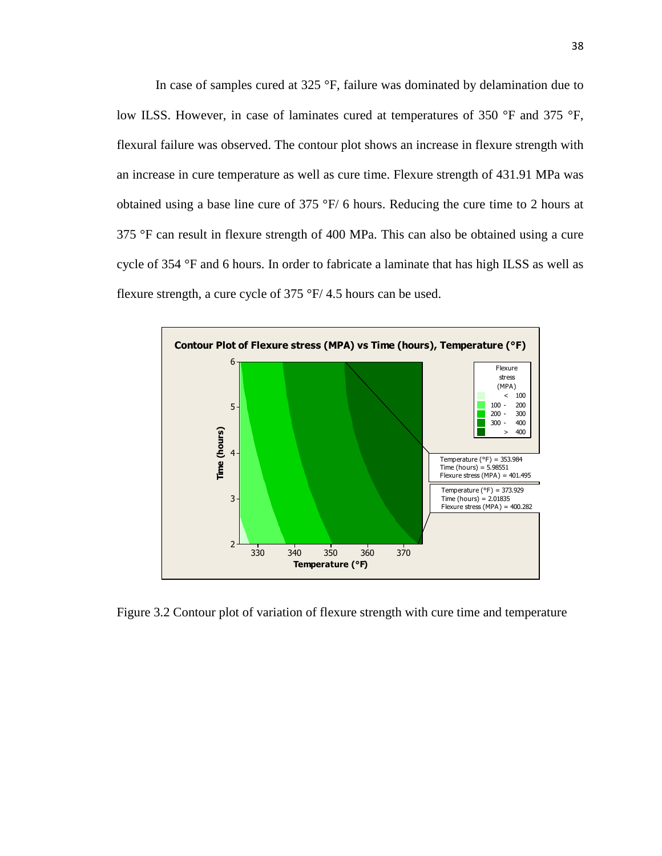In case of samples cured at 325 °F, failure was dominated by delamination due to low ILSS. However, in case of laminates cured at temperatures of 350 °F and 375 °F, flexural failure was observed. The contour plot shows an increase in flexure strength with an increase in cure temperature as well as cure time. Flexure strength of 431.91 MPa was obtained using a base line cure of 375 °F/ 6 hours. Reducing the cure time to 2 hours at 375 °F can result in flexure strength of 400 MPa. This can also be obtained using a cure cycle of 354 °F and 6 hours. In order to fabricate a laminate that has high ILSS as well as flexure strength, a cure cycle of 375 °F/ 4.5 hours can be used.



Figure 3.2 Contour plot of variation of flexure strength with cure time and temperature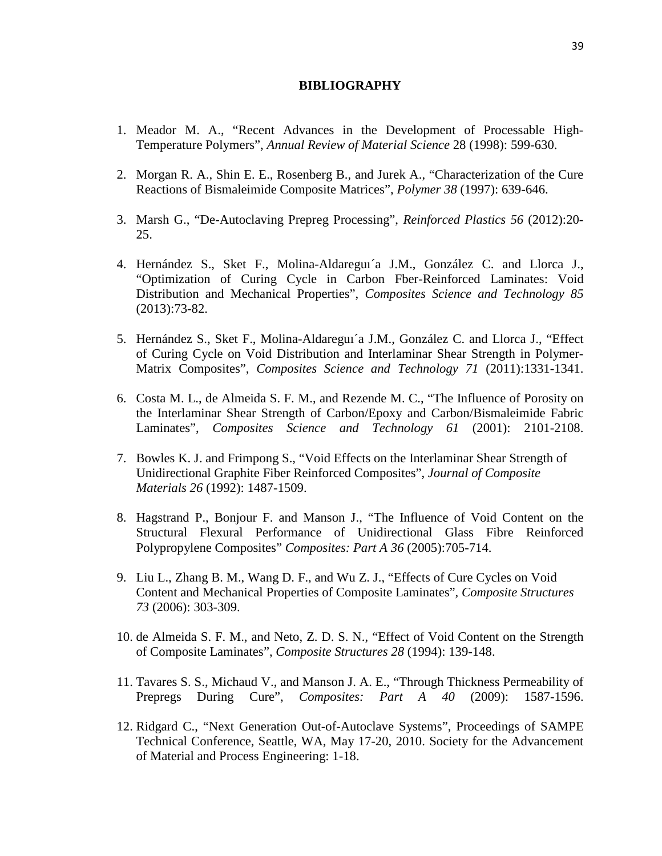#### **BIBLIOGRAPHY**

- 1. Meador M. A., "Recent Advances in the Development of Processable High-Temperature Polymers", *Annual Review of Material Science* 28 (1998): 599-630.
- 2. Morgan R. A., Shin E. E., Rosenberg B., and Jurek A., "Characterization of the Cure Reactions of Bismaleimide Composite Matrices", *Polymer 38* (1997): 639-646.
- 3. Marsh G., "De-Autoclaving Prepreg Processing", *Reinforced Plastics 56* (2012):20- 25.
- 4. Hernández S., Sket F., Molina-Aldareguı´a J.M., González C. and Llorca J., "Optimization of Curing Cycle in Carbon Fber-Reinforced Laminates: Void Distribution and Mechanical Properties", *Composites Science and Technology 85* (2013):73-82.
- 5. Hernández S., Sket F., Molina-Aldareguı´a J.M., González C. and Llorca J., "Effect of Curing Cycle on Void Distribution and Interlaminar Shear Strength in Polymer-Matrix Composites", *Composites Science and Technology 71* (2011):1331-1341.
- 6. Costa M. L., de Almeida S. F. M., and Rezende M. C., "The Influence of Porosity on the Interlaminar Shear Strength of Carbon/Epoxy and Carbon/Bismaleimide Fabric Laminates", *Composites Science and Technology 61* (2001): 2101-2108.
- 7. Bowles K. J. and Frimpong S., "Void Effects on the Interlaminar Shear Strength of Unidirectional Graphite Fiber Reinforced Composites", *Journal of Composite Materials 26* (1992): 1487-1509.
- 8. Hagstrand P., Bonjour F. and Manson J., "The Influence of Void Content on the Structural Flexural Performance of Unidirectional Glass Fibre Reinforced Polypropylene Composites" *Composites: Part A 36* (2005):705-714.
- 9. Liu L., Zhang B. M., Wang D. F., and Wu Z. J., "Effects of Cure Cycles on Void Content and Mechanical Properties of Composite Laminates", *Composite Structures 73* (2006): 303-309.
- 10. de Almeida S. F. M., and Neto, Z. D. S. N., "Effect of Void Content on the Strength of Composite Laminates", *Composite Structures 28* (1994): 139-148.
- 11. Tavares S. S., Michaud V., and Manson J. A. E., "Through Thickness Permeability of Prepregs During Cure", *Composites: Part A 40* (2009): 1587-1596.
- 12. Ridgard C., "Next Generation Out-of-Autoclave Systems", Proceedings of SAMPE Technical Conference, Seattle, WA, May 17-20, 2010. Society for the Advancement of Material and Process Engineering: 1-18.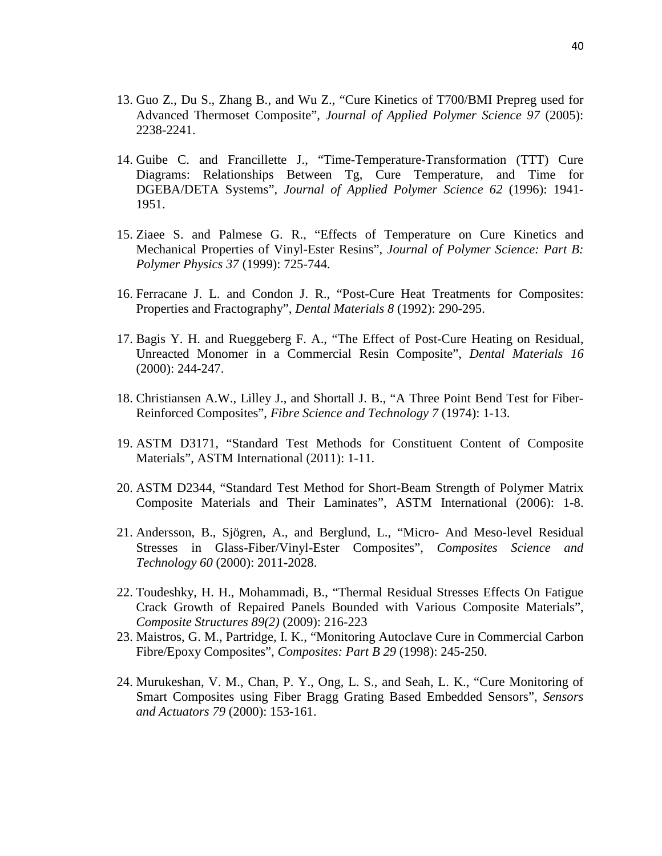- 13. Guo Z., Du S., Zhang B., and Wu Z., "Cure Kinetics of T700/BMI Prepreg used for Advanced Thermoset Composite", *Journal of Applied Polymer Science 97* (2005): 2238-2241.
- 14. Guibe C. and Francillette J., "Time-Temperature-Transformation (TTT) Cure Diagrams: Relationships Between Tg, Cure Temperature, and Time for DGEBA/DETA Systems", *Journal of Applied Polymer Science 62* (1996): 1941- 1951.
- 15. Ziaee S. and Palmese G. R., "Effects of Temperature on Cure Kinetics and Mechanical Properties of Vinyl-Ester Resins", *Journal of Polymer Science: Part B: Polymer Physics 37* (1999): 725-744.
- 16. Ferracane J. L. and Condon J. R., "Post-Cure Heat Treatments for Composites: Properties and Fractography", *Dental Materials 8* (1992): 290-295.
- 17. Bagis Y. H. and Rueggeberg F. A., "The Effect of Post-Cure Heating on Residual, Unreacted Monomer in a Commercial Resin Composite", *Dental Materials 16* (2000): 244-247.
- 18. Christiansen A.W., Lilley J., and Shortall J. B., "A Three Point Bend Test for Fiber-Reinforced Composites", *Fibre Science and Technology 7* (1974): 1-13.
- 19. ASTM D3171, "Standard Test Methods for Constituent Content of Composite Materials", ASTM International (2011): 1-11.
- 20. ASTM D2344, "Standard Test Method for Short-Beam Strength of Polymer Matrix Composite Materials and Their Laminates", ASTM International (2006): 1-8.
- 21. Andersson, B., Sjögren, A., and Berglund, L., "Micro- And Meso-level Residual Stresses in Glass-Fiber/Vinyl-Ester Composites", *Composites Science and Technology 60* (2000): 2011-2028.
- 22. Toudeshky, H. H., Mohammadi, B., "Thermal Residual Stresses Effects On Fatigue Crack Growth of Repaired Panels Bounded with Various Composite Materials", *Composite Structures 89(2)* (2009): 216-223
- 23. Maistros, G. M., Partridge, I. K., "Monitoring Autoclave Cure in Commercial Carbon Fibre/Epoxy Composites", *Composites: Part B 29* (1998): 245-250.
- 24. Murukeshan, V. M., Chan, P. Y., Ong, L. S., and Seah, L. K., "Cure Monitoring of Smart Composites using Fiber Bragg Grating Based Embedded Sensors", *Sensors and Actuators 79* (2000): 153-161.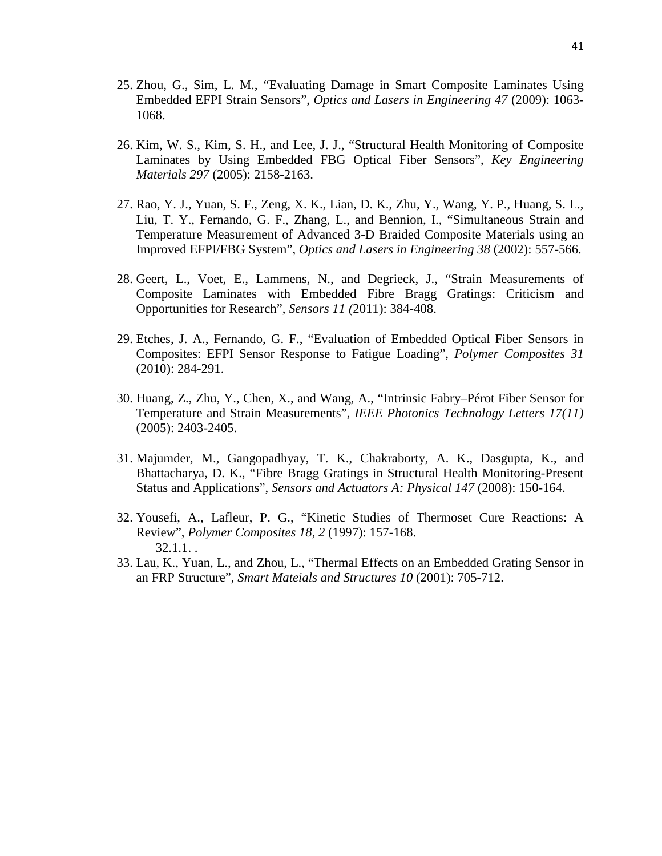- 25. Zhou, G., Sim, L. M., "Evaluating Damage in Smart Composite Laminates Using Embedded EFPI Strain Sensors", *Optics and Lasers in Engineering 47* (2009): 1063- 1068.
- 26. Kim, W. S., Kim, S. H., and Lee, J. J., "Structural Health Monitoring of Composite Laminates by Using Embedded FBG Optical Fiber Sensors", *Key Engineering Materials 297* (2005): 2158-2163.
- 27. Rao, Y. J., Yuan, S. F., Zeng, X. K., Lian, D. K., Zhu, Y., Wang, Y. P., Huang, S. L., Liu, T. Y., Fernando, G. F., Zhang, L., and Bennion, I., "Simultaneous Strain and Temperature Measurement of Advanced 3-D Braided Composite Materials using an Improved EFPI/FBG System", *Optics and Lasers in Engineering 38* (2002): 557-566.
- 28. Geert, L., Voet, E., Lammens, N., and Degrieck, J., "Strain Measurements of Composite Laminates with Embedded Fibre Bragg Gratings: Criticism and Opportunities for Research", *Sensors 11 (*2011): 384-408.
- 29. Etches, J. A., Fernando, G. F., "Evaluation of Embedded Optical Fiber Sensors in Composites: EFPI Sensor Response to Fatigue Loading", *Polymer Composites 31*  (2010): 284-291.
- 30. Huang, Z., Zhu, Y., Chen, X., and Wang, A., "Intrinsic Fabry–Pérot Fiber Sensor for Temperature and Strain Measurements", *IEEE Photonics Technology Letters 17(11)*  (2005): 2403-2405.
- 31. Majumder, M., Gangopadhyay, T. K., Chakraborty, A. K., Dasgupta, K., and Bhattacharya, D. K., "Fibre Bragg Gratings in Structural Health Monitoring-Present Status and Applications", *Sensors and Actuators A: Physical 147* (2008): 150-164.
- 32. Yousefi, A., Lafleur, P. G., "Kinetic Studies of Thermoset Cure Reactions: A Review", *Polymer Composites 18, 2* (1997): 157-168. 32.1.1. .
- 33. Lau, K., Yuan, L., and Zhou, L., "Thermal Effects on an Embedded Grating Sensor in an FRP Structure", *Smart Mateials and Structures 10* (2001): 705-712.